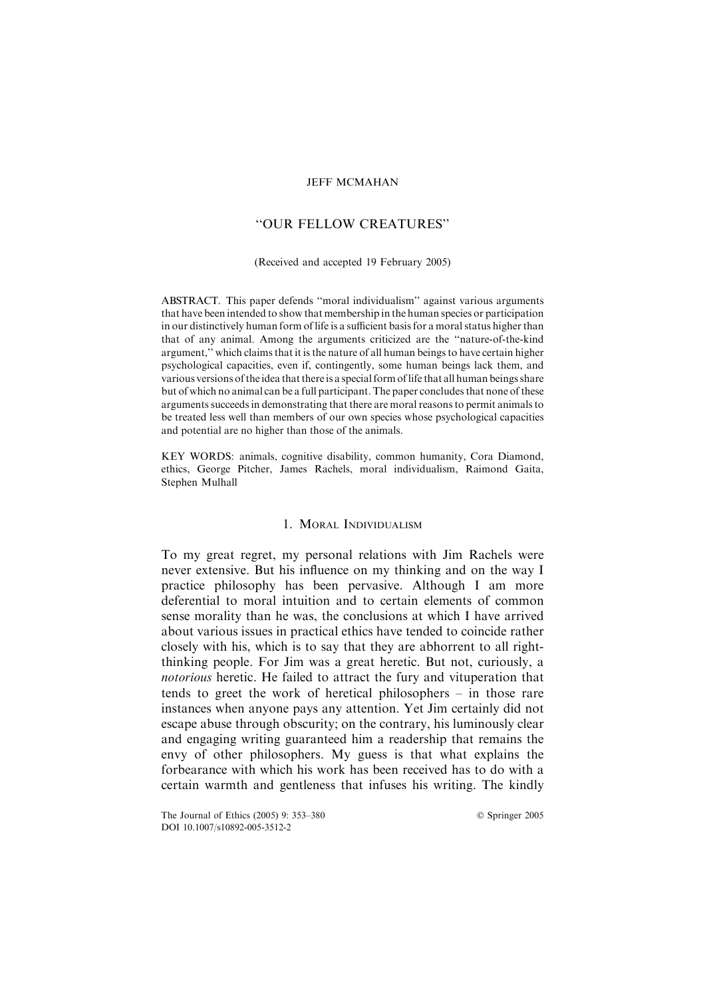### ''OUR FELLOW CREATURES''

#### (Received and accepted 19 February 2005)

ABSTRACT. This paper defends ''moral individualism'' against various arguments that have been intended to show that membership in the human species or participation in our distinctively human form of life is a sufficient basis for a moral status higher than that of any animal. Among the arguments criticized are the ''nature-of-the-kind argument,'' which claims that it is the nature of all human beings to have certain higher psychological capacities, even if, contingently, some human beings lack them, and various versions of the idea that there is a special form of life that all human beings share but of which no animal can be a full participant. The paper concludes that none of these arguments succeeds in demonstrating that there are moral reasons to permit animals to be treated less well than members of our own species whose psychological capacities and potential are no higher than those of the animals.

KEY WORDS: animals, cognitive disability, common humanity, Cora Diamond, ethics, George Pitcher, James Rachels, moral individualism, Raimond Gaita, Stephen Mulhall

#### 1. MORAL INDIVIDUALISM

To my great regret, my personal relations with Jim Rachels were never extensive. But his influence on my thinking and on the way I practice philosophy has been pervasive. Although I am more deferential to moral intuition and to certain elements of common sense morality than he was, the conclusions at which I have arrived about various issues in practical ethics have tended to coincide rather closely with his, which is to say that they are abhorrent to all rightthinking people. For Jim was a great heretic. But not, curiously, a notorious heretic. He failed to attract the fury and vituperation that tends to greet the work of heretical philosophers – in those rare instances when anyone pays any attention. Yet Jim certainly did not escape abuse through obscurity; on the contrary, his luminously clear and engaging writing guaranteed him a readership that remains the envy of other philosophers. My guess is that what explains the forbearance with which his work has been received has to do with a certain warmth and gentleness that infuses his writing. The kindly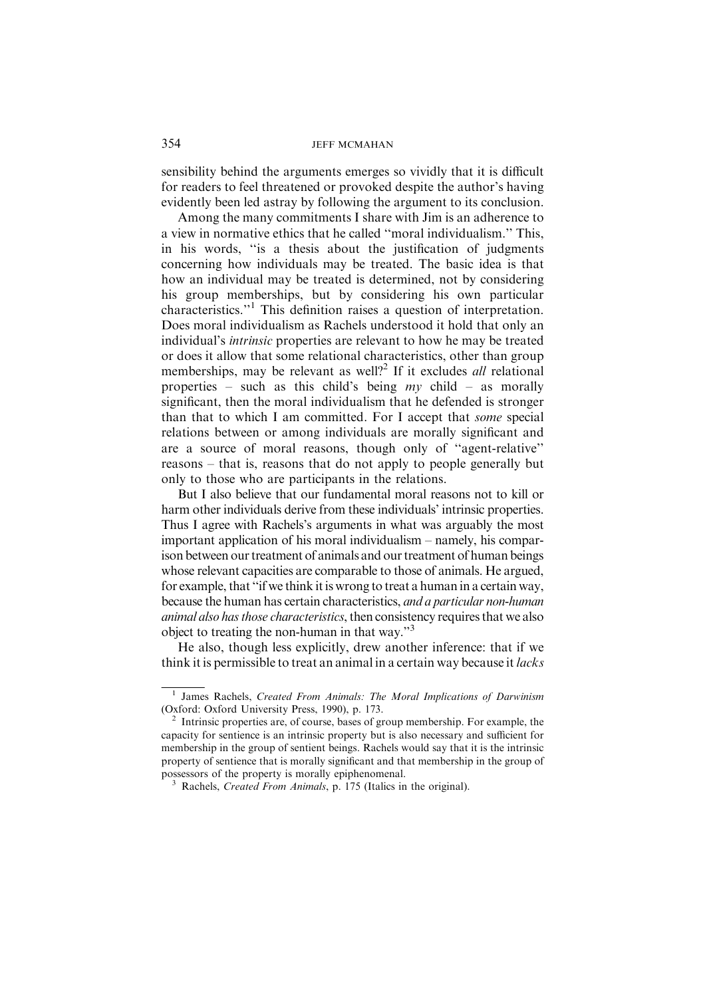sensibility behind the arguments emerges so vividly that it is difficult for readers to feel threatened or provoked despite the author's having evidently been led astray by following the argument to its conclusion.

Among the many commitments I share with Jim is an adherence to a view in normative ethics that he called ''moral individualism.'' This, in his words, ''is a thesis about the justification of judgments concerning how individuals may be treated. The basic idea is that how an individual may be treated is determined, not by considering his group memberships, but by considering his own particular characteristics.''1 This definition raises a question of interpretation. Does moral individualism as Rachels understood it hold that only an individual's intrinsic properties are relevant to how he may be treated or does it allow that some relational characteristics, other than group memberships, may be relevant as well?<sup>2</sup> If it excludes *all* relational properties – such as this child's being  $mv$  child – as morally significant, then the moral individualism that he defended is stronger than that to which I am committed. For I accept that some special relations between or among individuals are morally significant and are a source of moral reasons, though only of ''agent-relative'' reasons – that is, reasons that do not apply to people generally but only to those who are participants in the relations.

But I also believe that our fundamental moral reasons not to kill or harm other individuals derive from these individuals' intrinsic properties. Thus I agree with Rachels's arguments in what was arguably the most important application of his moral individualism – namely, his comparison between our treatment of animals and our treatment of human beings whose relevant capacities are comparable to those of animals. He argued, for example, that ''if we think it is wrong to treat a human in a certain way, because the human has certain characteristics, and a particular non-human animal also has those characteristics, then consistency requires that we also object to treating the non-human in that way.''3

He also, though less explicitly, drew another inference: that if we think it is permissible to treat an animal in a certain way because it *lacks* 

<sup>&</sup>lt;sup>1</sup> James Rachels, *Created From Animals: The Moral Implications of Darwinism* (Oxford: Oxford University Press, 1990), p. 173.

 $\frac{2}{3}$  Intrinsic properties are, of course, bases of group membership. For example, the capacity for sentience is an intrinsic property but is also necessary and sufficient for membership in the group of sentient beings. Rachels would say that it is the intrinsic property of sentience that is morally significant and that membership in the group of possessors of the property is morally epiphenomenal.<br><sup>3</sup> Rachels, *Created From Animals*, p. 175 (Italics in the original).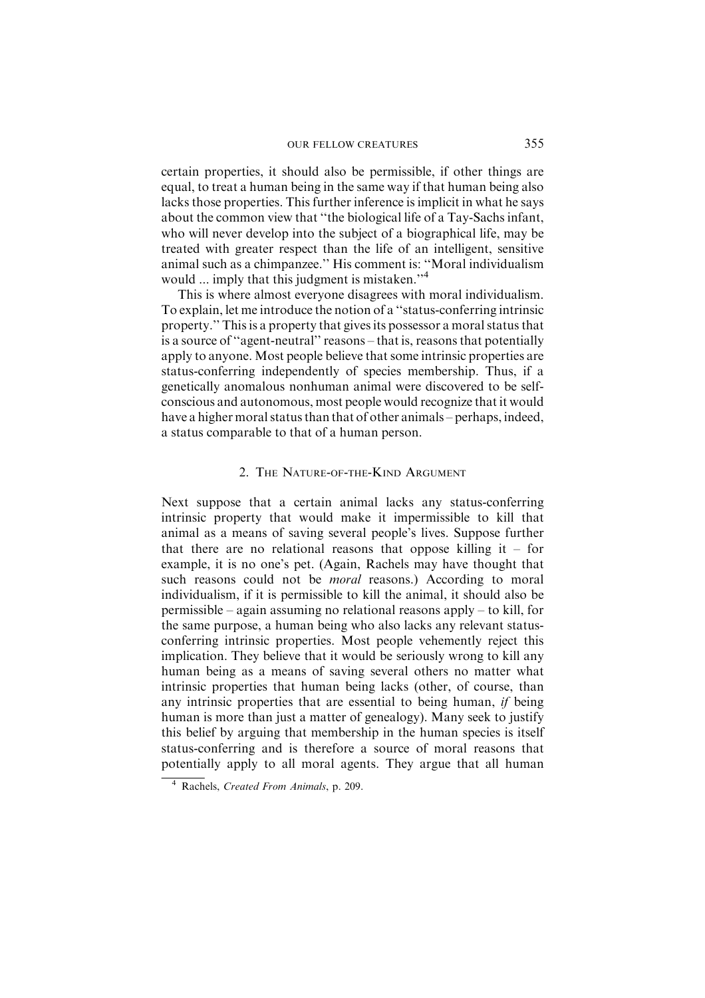certain properties, it should also be permissible, if other things are equal, to treat a human being in the same way if that human being also lacks those properties. This further inference is implicit in what he says about the common view that ''the biological life of a Tay-Sachs infant, who will never develop into the subject of a biographical life, may be treated with greater respect than the life of an intelligent, sensitive animal such as a chimpanzee.'' His comment is: ''Moral individualism would ... imply that this judgment is mistaken."<sup>4</sup>

This is where almost everyone disagrees with moral individualism. To explain, let me introduce the notion of a ''status-conferring intrinsic property.'' This is a property that gives its possessor a moral status that is a source of ''agent-neutral'' reasons – that is, reasons that potentially apply to anyone. Most people believe that some intrinsic properties are status-conferring independently of species membership. Thus, if a genetically anomalous nonhuman animal were discovered to be selfconscious and autonomous, most people would recognize that it would have a higher moral status than that of other animals – perhaps, indeed, a status comparable to that of a human person.

### 2. THE NATURE-OF-THE-KIND ARGUMENT

Next suppose that a certain animal lacks any status-conferring intrinsic property that would make it impermissible to kill that animal as a means of saving several people's lives. Suppose further that there are no relational reasons that oppose killing it  $-$  for example, it is no one's pet. (Again, Rachels may have thought that such reasons could not be *moral* reasons.) According to moral individualism, if it is permissible to kill the animal, it should also be permissible – again assuming no relational reasons apply – to kill, for the same purpose, a human being who also lacks any relevant statusconferring intrinsic properties. Most people vehemently reject this implication. They believe that it would be seriously wrong to kill any human being as a means of saving several others no matter what intrinsic properties that human being lacks (other, of course, than any intrinsic properties that are essential to being human, if being human is more than just a matter of genealogy). Many seek to justify this belief by arguing that membership in the human species is itself status-conferring and is therefore a source of moral reasons that potentially apply to all moral agents. They argue that all human

<sup>4</sup> Rachels, Created From Animals, p. 209.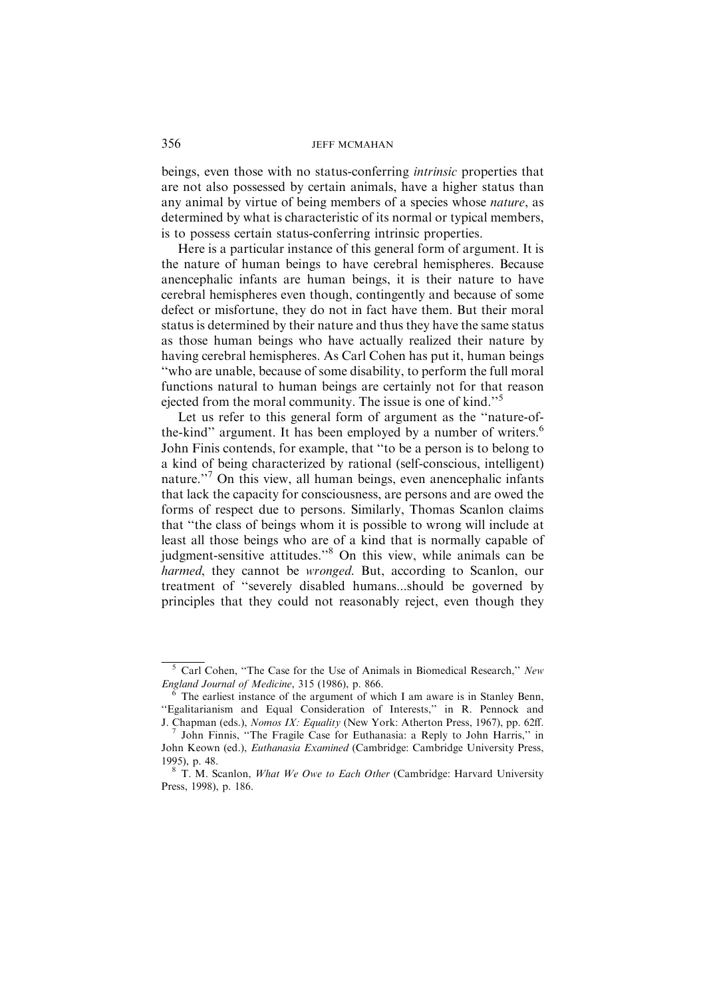beings, even those with no status-conferring intrinsic properties that are not also possessed by certain animals, have a higher status than any animal by virtue of being members of a species whose *nature*, as determined by what is characteristic of its normal or typical members, is to possess certain status-conferring intrinsic properties.

Here is a particular instance of this general form of argument. It is the nature of human beings to have cerebral hemispheres. Because anencephalic infants are human beings, it is their nature to have cerebral hemispheres even though, contingently and because of some defect or misfortune, they do not in fact have them. But their moral status is determined by their nature and thus they have the same status as those human beings who have actually realized their nature by having cerebral hemispheres. As Carl Cohen has put it, human beings ''who are unable, because of some disability, to perform the full moral functions natural to human beings are certainly not for that reason ejected from the moral community. The issue is one of kind."<sup>5</sup>

Let us refer to this general form of argument as the ''nature-ofthe-kind" argument. It has been employed by a number of writers.<sup>6</sup> John Finis contends, for example, that ''to be a person is to belong to a kind of being characterized by rational (self-conscious, intelligent) nature."<sup>7</sup> On this view, all human beings, even anencephalic infants that lack the capacity for consciousness, are persons and are owed the forms of respect due to persons. Similarly, Thomas Scanlon claims that ''the class of beings whom it is possible to wrong will include at least all those beings who are of a kind that is normally capable of judgment-sensitive attitudes.''<sup>8</sup> On this view, while animals can be harmed, they cannot be *wronged*. But, according to Scanlon, our treatment of ''severely disabled humans...should be governed by principles that they could not reasonably reject, even though they

<sup>5</sup> Carl Cohen, ''The Case for the Use of Animals in Biomedical Research,'' New England Journal of Medicine, 315 (1986), p. 866.<br><sup>6</sup> The earliest instance of the argument of which I am aware is in Stanley Benn,

<sup>&</sup>quot;Egalitarianism and Equal Consideration of Interests," in R. Pennock and J. Chapman (eds.). *Nomos IX: Equality* (New York: Atherton Press, 1967). pp. 62ff.

John Finnis, "The Fragile Case for Euthanasia: a Reply to John Harris," in John Keown (ed.), *Euthanasia Examined* (Cambridge: Cambridge University Press, 1995), p. 48. 8 T. M. Scanlon, *What We Owe to Each Other* (Cambridge: Harvard University

Press, 1998), p. 186.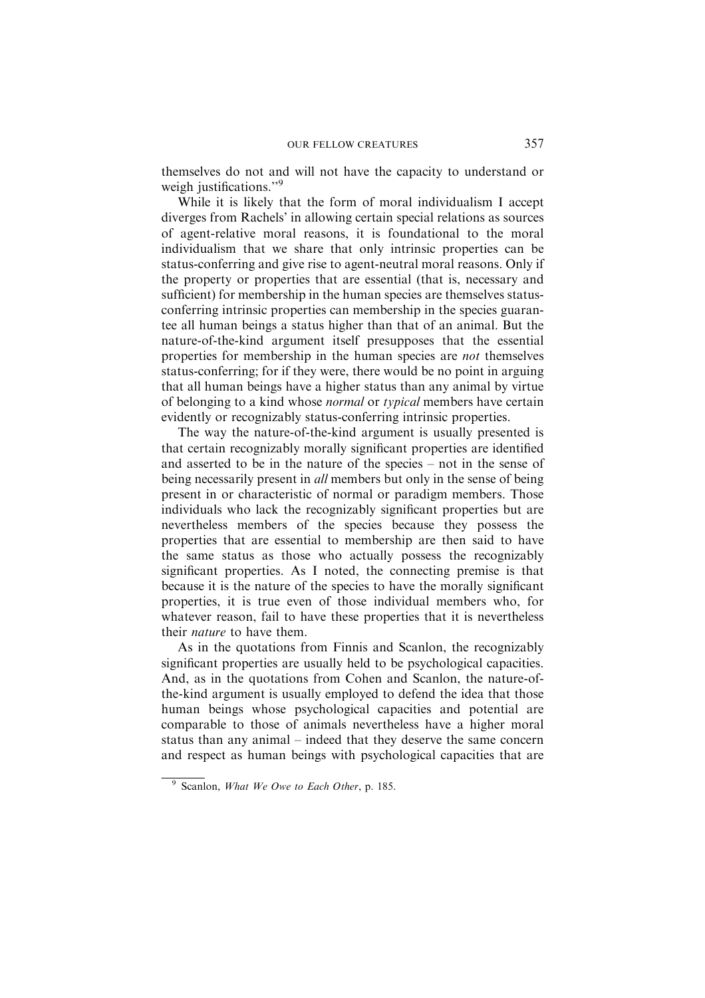themselves do not and will not have the capacity to understand or weigh justifications."<sup>9</sup>

While it is likely that the form of moral individualism I accept diverges from Rachels' in allowing certain special relations as sources of agent-relative moral reasons, it is foundational to the moral individualism that we share that only intrinsic properties can be status-conferring and give rise to agent-neutral moral reasons. Only if the property or properties that are essential (that is, necessary and sufficient) for membership in the human species are themselves statusconferring intrinsic properties can membership in the species guarantee all human beings a status higher than that of an animal. But the nature-of-the-kind argument itself presupposes that the essential properties for membership in the human species are not themselves status-conferring; for if they were, there would be no point in arguing that all human beings have a higher status than any animal by virtue of belonging to a kind whose normal or typical members have certain evidently or recognizably status-conferring intrinsic properties.

The way the nature-of-the-kind argument is usually presented is that certain recognizably morally significant properties are identified and asserted to be in the nature of the species – not in the sense of being necessarily present in *all* members but only in the sense of being present in or characteristic of normal or paradigm members. Those individuals who lack the recognizably significant properties but are nevertheless members of the species because they possess the properties that are essential to membership are then said to have the same status as those who actually possess the recognizably significant properties. As I noted, the connecting premise is that because it is the nature of the species to have the morally significant properties, it is true even of those individual members who, for whatever reason, fail to have these properties that it is nevertheless their nature to have them.

As in the quotations from Finnis and Scanlon, the recognizably significant properties are usually held to be psychological capacities. And, as in the quotations from Cohen and Scanlon, the nature-ofthe-kind argument is usually employed to defend the idea that those human beings whose psychological capacities and potential are comparable to those of animals nevertheless have a higher moral status than any animal – indeed that they deserve the same concern and respect as human beings with psychological capacities that are

<sup>9</sup> Scanlon, What We Owe to Each Other, p. 185.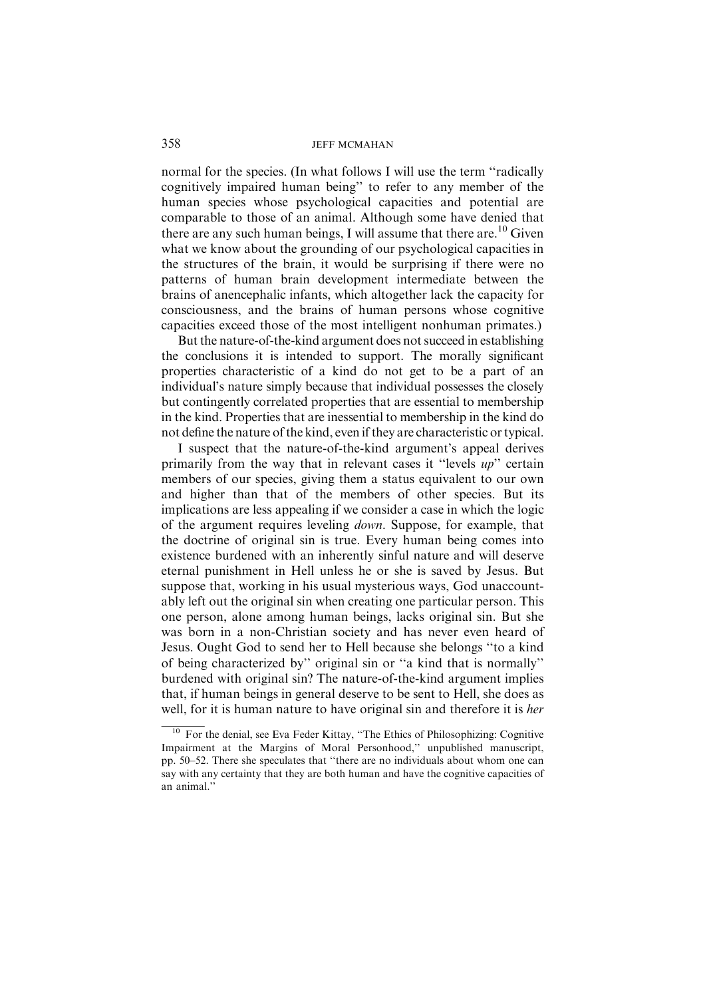normal for the species. (In what follows I will use the term ''radically cognitively impaired human being'' to refer to any member of the human species whose psychological capacities and potential are comparable to those of an animal. Although some have denied that there are any such human beings, I will assume that there are.<sup>10</sup> Given what we know about the grounding of our psychological capacities in the structures of the brain, it would be surprising if there were no patterns of human brain development intermediate between the brains of anencephalic infants, which altogether lack the capacity for consciousness, and the brains of human persons whose cognitive capacities exceed those of the most intelligent nonhuman primates.)

But the nature-of-the-kind argument does not succeed in establishing the conclusions it is intended to support. The morally significant properties characteristic of a kind do not get to be a part of an individual's nature simply because that individual possesses the closely but contingently correlated properties that are essential to membership in the kind. Properties that are inessential to membership in the kind do not define the nature of the kind, even if they are characteristic or typical.

I suspect that the nature-of-the-kind argument's appeal derives primarily from the way that in relevant cases it "levels  $up$ " certain members of our species, giving them a status equivalent to our own and higher than that of the members of other species. But its implications are less appealing if we consider a case in which the logic of the argument requires leveling down. Suppose, for example, that the doctrine of original sin is true. Every human being comes into existence burdened with an inherently sinful nature and will deserve eternal punishment in Hell unless he or she is saved by Jesus. But suppose that, working in his usual mysterious ways, God unaccountably left out the original sin when creating one particular person. This one person, alone among human beings, lacks original sin. But she was born in a non-Christian society and has never even heard of Jesus. Ought God to send her to Hell because she belongs ''to a kind of being characterized by'' original sin or ''a kind that is normally'' burdened with original sin? The nature-of-the-kind argument implies that, if human beings in general deserve to be sent to Hell, she does as well, for it is human nature to have original sin and therefore it is *her* 

<sup>&</sup>lt;sup>10</sup> For the denial, see Eva Feder Kittay, "The Ethics of Philosophizing: Cognitive Impairment at the Margins of Moral Personhood,'' unpublished manuscript, pp. 50–52. There she speculates that ''there are no individuals about whom one can say with any certainty that they are both human and have the cognitive capacities of an animal.''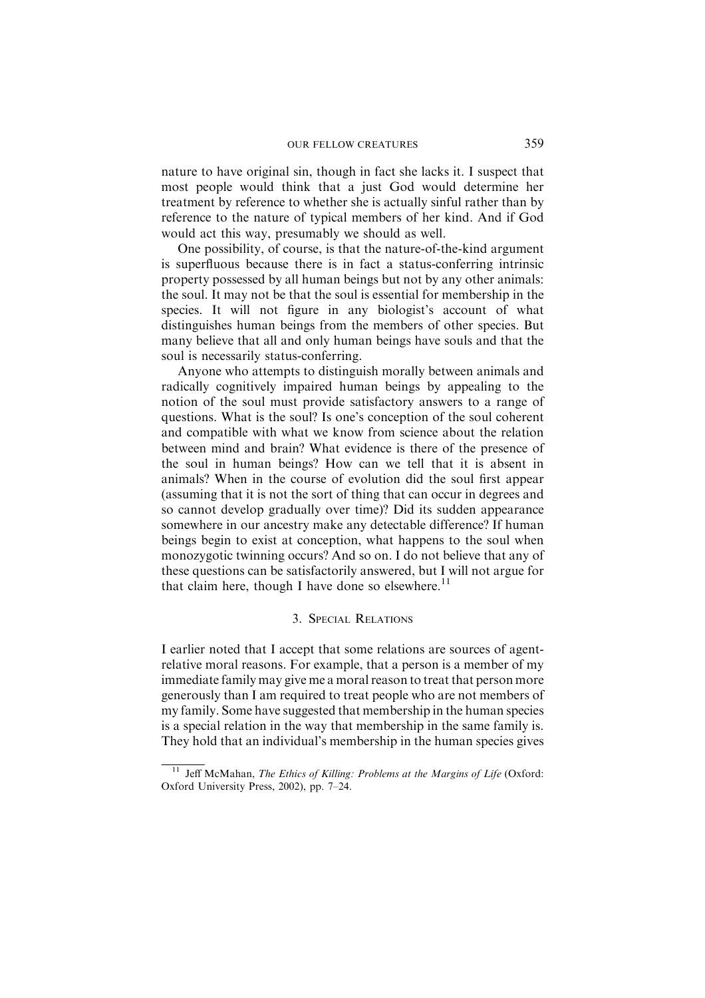nature to have original sin, though in fact she lacks it. I suspect that most people would think that a just God would determine her treatment by reference to whether she is actually sinful rather than by reference to the nature of typical members of her kind. And if God would act this way, presumably we should as well.

One possibility, of course, is that the nature-of-the-kind argument is superfluous because there is in fact a status-conferring intrinsic property possessed by all human beings but not by any other animals: the soul. It may not be that the soul is essential for membership in the species. It will not figure in any biologist's account of what distinguishes human beings from the members of other species. But many believe that all and only human beings have souls and that the soul is necessarily status-conferring.

Anyone who attempts to distinguish morally between animals and radically cognitively impaired human beings by appealing to the notion of the soul must provide satisfactory answers to a range of questions. What is the soul? Is one's conception of the soul coherent and compatible with what we know from science about the relation between mind and brain? What evidence is there of the presence of the soul in human beings? How can we tell that it is absent in animals? When in the course of evolution did the soul first appear (assuming that it is not the sort of thing that can occur in degrees and so cannot develop gradually over time)? Did its sudden appearance somewhere in our ancestry make any detectable difference? If human beings begin to exist at conception, what happens to the soul when monozygotic twinning occurs? And so on. I do not believe that any of these questions can be satisfactorily answered, but I will not argue for that claim here, though I have done so elsewhere.<sup>11</sup>

#### 3. SPECIAL RELATIONS

I earlier noted that I accept that some relations are sources of agentrelative moral reasons. For example, that a person is a member of my immediate family may give me a moral reason to treat that person more generously than I am required to treat people who are not members of my family. Some have suggested that membership in the human species is a special relation in the way that membership in the same family is. They hold that an individual's membership in the human species gives

Jeff McMahan, The Ethics of Killing: Problems at the Margins of Life (Oxford: Oxford University Press, 2002), pp. 7–24.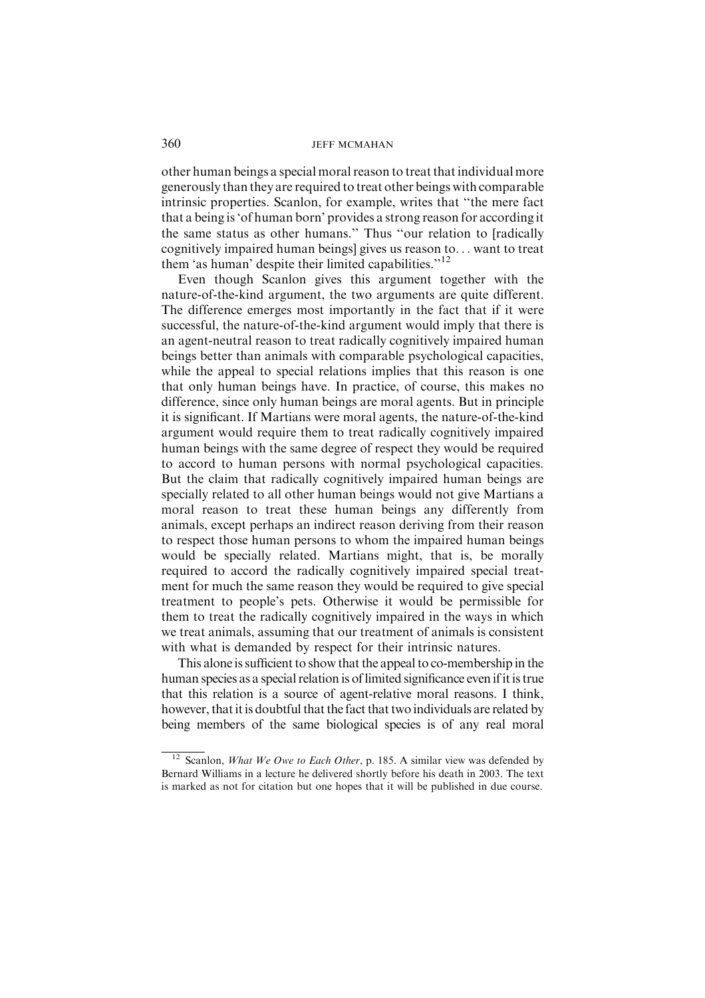other human beings a special moral reason to treat that individual more generously than they are required to treat other beings with comparable intrinsic properties. Scanlon, for example, writes that ''the mere fact that a being is 'of human born' provides a strong reason for according it the same status as other humans.'' Thus ''our relation to [radically cognitively impaired human beings] gives us reason to... want to treat them 'as human' despite their limited capabilities."<sup>12</sup>

Even though Scanlon gives this argument together with the nature-of-the-kind argument, the two arguments are quite different. The difference emerges most importantly in the fact that if it were successful, the nature-of-the-kind argument would imply that there is an agent-neutral reason to treat radically cognitively impaired human beings better than animals with comparable psychological capacities, while the appeal to special relations implies that this reason is one that only human beings have. In practice, of course, this makes no difference, since only human beings are moral agents. But in principle it is significant. If Martians were moral agents, the nature-of-the-kind argument would require them to treat radically cognitively impaired human beings with the same degree of respect they would be required to accord to human persons with normal psychological capacities. But the claim that radically cognitively impaired human beings are specially related to all other human beings would not give Martians a moral reason to treat these human beings any differently from animals, except perhaps an indirect reason deriving from their reason to respect those human persons to whom the impaired human beings would be specially related. Martians might, that is, be morally required to accord the radically cognitively impaired special treatment for much the same reason they would be required to give special treatment to people's pets. Otherwise it would be permissible for them to treat the radically cognitively impaired in the ways in which we treat animals, assuming that our treatment of animals is consistent with what is demanded by respect for their intrinsic natures.

This alone is sufficient to show that the appeal to co-membership in the human species as a special relation is of limited significance even if it is true that this relation is a source of agent-relative moral reasons. I think, however, that it is doubtful that the fact that two individuals are related by being members of the same biological species is of any real moral

<sup>&</sup>lt;sup>12</sup> Scanlon, What We Owe to Each Other, p. 185. A similar view was defended by Bernard Williams in a lecture he delivered shortly before his death in 2003. The text is marked as not for citation but one hopes that it will be published in due course.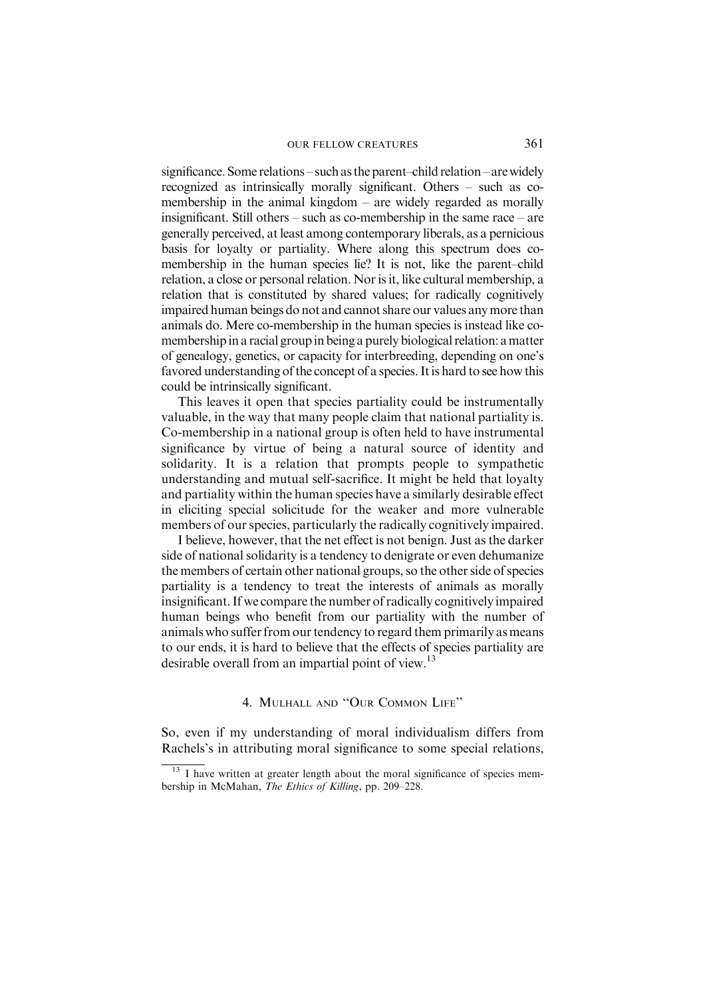significance. Some relations – such as the parent–child relation – are widely recognized as intrinsically morally significant. Others – such as comembership in the animal kingdom – are widely regarded as morally insignificant. Still others – such as co-membership in the same race – are generally perceived, at least among contemporary liberals, as a pernicious basis for loyalty or partiality. Where along this spectrum does comembership in the human species lie? It is not, like the parent–child relation, a close or personal relation. Nor is it, like cultural membership, a relation that is constituted by shared values; for radically cognitively impaired human beings do not and cannot share our values any more than animals do. Mere co-membership in the human species is instead like comembership in a racial group in being a purely biological relation: amatter of genealogy, genetics, or capacity for interbreeding, depending on one's favored understanding of the concept of a species. It is hard to see how this could be intrinsically significant.

This leaves it open that species partiality could be instrumentally valuable, in the way that many people claim that national partiality is. Co-membership in a national group is often held to have instrumental significance by virtue of being a natural source of identity and solidarity. It is a relation that prompts people to sympathetic understanding and mutual self-sacrifice. It might be held that loyalty and partiality within the human species have a similarly desirable effect in eliciting special solicitude for the weaker and more vulnerable members of our species, particularly the radically cognitively impaired.

I believe, however, that the net effect is not benign. Just as the darker side of national solidarity is a tendency to denigrate or even dehumanize the members of certain other national groups, so the other side of species partiality is a tendency to treat the interests of animals as morally insignificant. If we compare the number of radically cognitively impaired human beings who benefit from our partiality with the number of animals who suffer from our tendency to regard them primarily as means to our ends, it is hard to believe that the effects of species partiality are desirable overall from an impartial point of view.<sup>13</sup>

## 4. MULHALL AND ''OUR COMMON LIFE''

So, even if my understanding of moral individualism differs from Rachels's in attributing moral significance to some special relations,

 $13$  I have written at greater length about the moral significance of species membership in McMahan, The Ethics of Killing, pp. 209–228.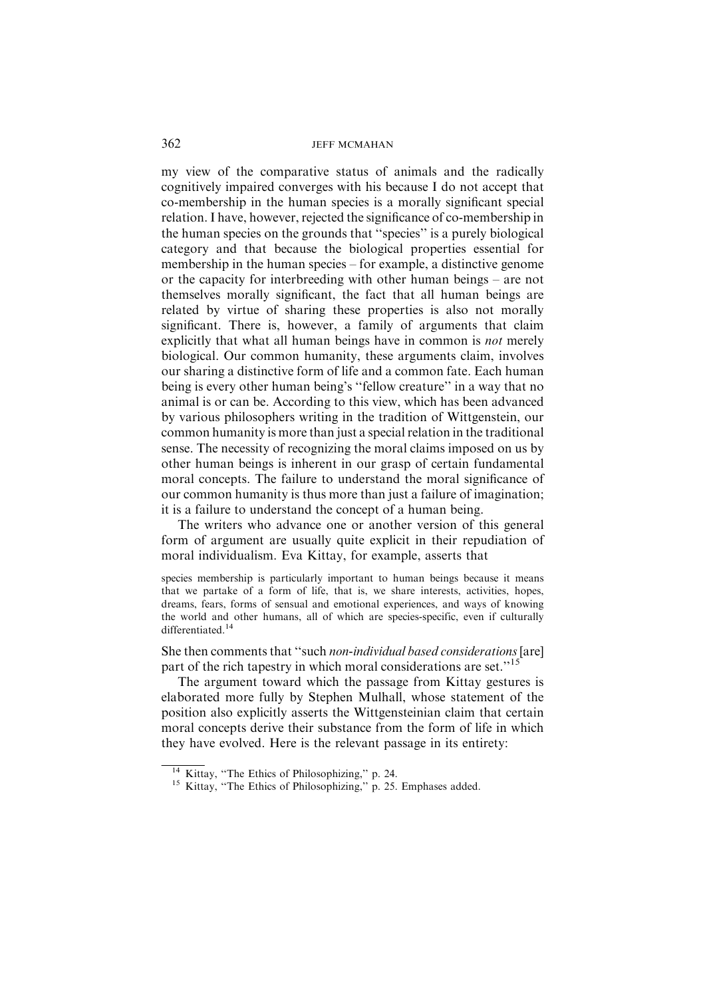my view of the comparative status of animals and the radically cognitively impaired converges with his because I do not accept that co-membership in the human species is a morally significant special relation. I have, however, rejected the significance of co-membership in the human species on the grounds that ''species'' is a purely biological category and that because the biological properties essential for membership in the human species – for example, a distinctive genome or the capacity for interbreeding with other human beings – are not themselves morally significant, the fact that all human beings are related by virtue of sharing these properties is also not morally significant. There is, however, a family of arguments that claim explicitly that what all human beings have in common is *not* merely biological. Our common humanity, these arguments claim, involves our sharing a distinctive form of life and a common fate. Each human being is every other human being's ''fellow creature'' in a way that no animal is or can be. According to this view, which has been advanced by various philosophers writing in the tradition of Wittgenstein, our common humanity is more than just a special relation in the traditional sense. The necessity of recognizing the moral claims imposed on us by other human beings is inherent in our grasp of certain fundamental moral concepts. The failure to understand the moral significance of our common humanity is thus more than just a failure of imagination; it is a failure to understand the concept of a human being.

The writers who advance one or another version of this general form of argument are usually quite explicit in their repudiation of moral individualism. Eva Kittay, for example, asserts that

She then comments that "such *non-individual based considerations* [are] part of the rich tapestry in which moral considerations are set."<sup>1</sup>

The argument toward which the passage from Kittay gestures is elaborated more fully by Stephen Mulhall, whose statement of the position also explicitly asserts the Wittgensteinian claim that certain moral concepts derive their substance from the form of life in which they have evolved. Here is the relevant passage in its entirety:

species membership is particularly important to human beings because it means that we partake of a form of life, that is, we share interests, activities, hopes, dreams, fears, forms of sensual and emotional experiences, and ways of knowing the world and other humans, all of which are species-specific, even if culturally differentiated.<sup>14</sup>

<sup>&</sup>lt;sup>14</sup> Kittay, "The Ethics of Philosophizing," p. 24.  $15$  Kittay, "The Ethics of Philosophizing," p. 25. Emphases added.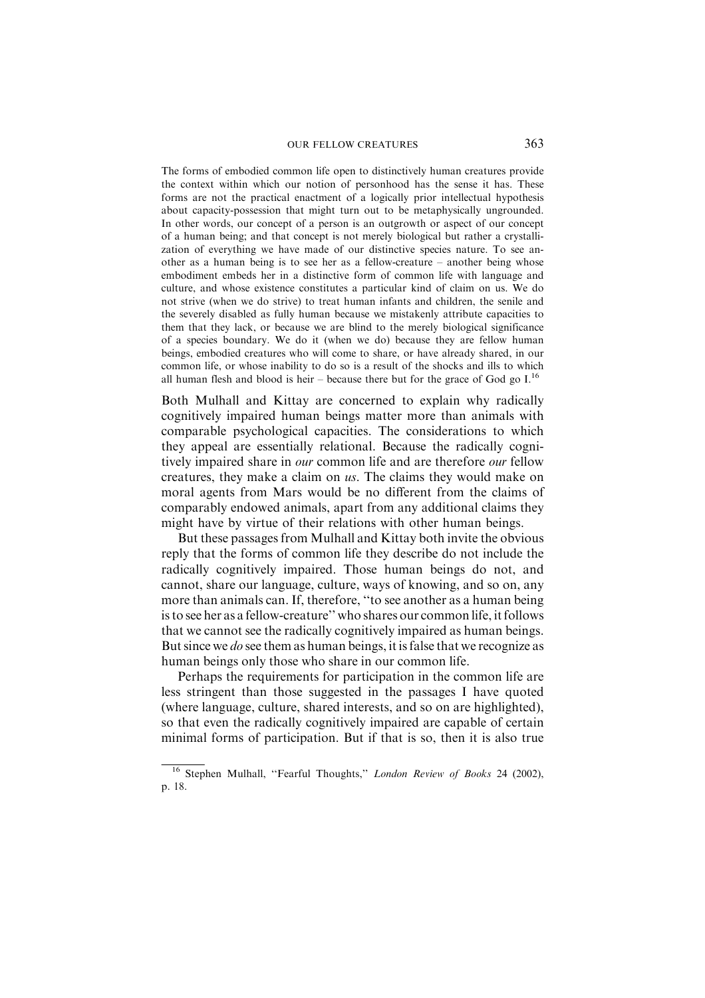The forms of embodied common life open to distinctively human creatures provide the context within which our notion of personhood has the sense it has. These forms are not the practical enactment of a logically prior intellectual hypothesis about capacity-possession that might turn out to be metaphysically ungrounded. In other words, our concept of a person is an outgrowth or aspect of our concept of a human being; and that concept is not merely biological but rather a crystallization of everything we have made of our distinctive species nature. To see another as a human being is to see her as a fellow-creature – another being whose embodiment embeds her in a distinctive form of common life with language and culture, and whose existence constitutes a particular kind of claim on us. We do not strive (when we do strive) to treat human infants and children, the senile and the severely disabled as fully human because we mistakenly attribute capacities to them that they lack, or because we are blind to the merely biological significance of a species boundary. We do it (when we do) because they are fellow human beings, embodied creatures who will come to share, or have already shared, in our common life, or whose inability to do so is a result of the shocks and ills to which all human flesh and blood is heir – because there but for the grace of God go I.<sup>16</sup>

Both Mulhall and Kittay are concerned to explain why radically cognitively impaired human beings matter more than animals with comparable psychological capacities. The considerations to which they appeal are essentially relational. Because the radically cognitively impaired share in *our* common life and are therefore *our* fellow creatures, they make a claim on us. The claims they would make on moral agents from Mars would be no different from the claims of comparably endowed animals, apart from any additional claims they might have by virtue of their relations with other human beings.

But these passages from Mulhall and Kittay both invite the obvious reply that the forms of common life they describe do not include the radically cognitively impaired. Those human beings do not, and cannot, share our language, culture, ways of knowing, and so on, any more than animals can. If, therefore, ''to see another as a human being is to see her as a fellow-creature'' who shares our common life, it follows that we cannot see the radically cognitively impaired as human beings. But since we *do* see them as human beings, it is false that we recognize as human beings only those who share in our common life.

Perhaps the requirements for participation in the common life are less stringent than those suggested in the passages I have quoted (where language, culture, shared interests, and so on are highlighted), so that even the radically cognitively impaired are capable of certain minimal forms of participation. But if that is so, then it is also true

<sup>&</sup>lt;sup>16</sup> Stephen Mulhall, "Fearful Thoughts," London Review of Books 24 (2002), p. 18.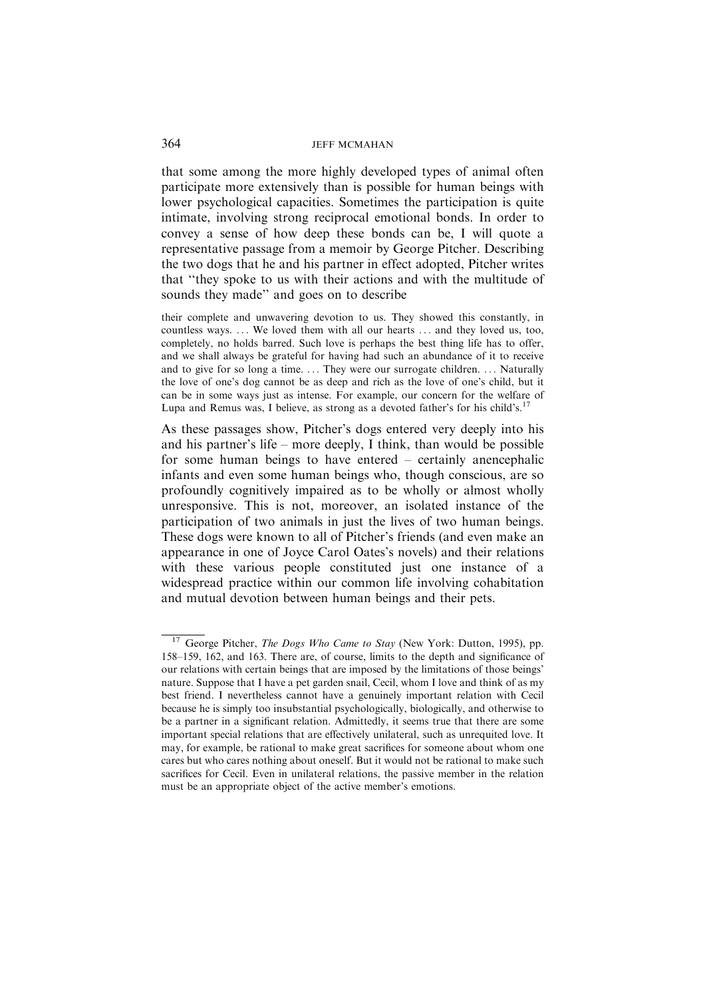that some among the more highly developed types of animal often participate more extensively than is possible for human beings with lower psychological capacities. Sometimes the participation is quite intimate, involving strong reciprocal emotional bonds. In order to convey a sense of how deep these bonds can be, I will quote a representative passage from a memoir by George Pitcher. Describing the two dogs that he and his partner in effect adopted, Pitcher writes that ''they spoke to us with their actions and with the multitude of sounds they made'' and goes on to describe

their complete and unwavering devotion to us. They showed this constantly, in countless ways. ... We loved them with all our hearts ... and they loved us, too, completely, no holds barred. Such love is perhaps the best thing life has to offer, and we shall always be grateful for having had such an abundance of it to receive and to give for so long a time. ... They were our surrogate children. ... Naturally the love of one's dog cannot be as deep and rich as the love of one's child, but it can be in some ways just as intense. For example, our concern for the welfare of Lupa and Remus was, I believe, as strong as a devoted father's for his child's.<sup>1</sup>

As these passages show, Pitcher's dogs entered very deeply into his and his partner's life – more deeply, I think, than would be possible for some human beings to have entered – certainly anencephalic infants and even some human beings who, though conscious, are so profoundly cognitively impaired as to be wholly or almost wholly unresponsive. This is not, moreover, an isolated instance of the participation of two animals in just the lives of two human beings. These dogs were known to all of Pitcher's friends (and even make an appearance in one of Joyce Carol Oates's novels) and their relations with these various people constituted just one instance of a widespread practice within our common life involving cohabitation and mutual devotion between human beings and their pets.

 $17$  George Pitcher, *The Dogs Who Came to Stav* (New York: Dutton, 1995), pp. 158–159, 162, and 163. There are, of course, limits to the depth and significance of our relations with certain beings that are imposed by the limitations of those beings' nature. Suppose that I have a pet garden snail, Cecil, whom I love and think of as my best friend. I nevertheless cannot have a genuinely important relation with Cecil because he is simply too insubstantial psychologically, biologically, and otherwise to be a partner in a significant relation. Admittedly, it seems true that there are some important special relations that are effectively unilateral, such as unrequited love. It may, for example, be rational to make great sacrifices for someone about whom one cares but who cares nothing about oneself. But it would not be rational to make such sacrifices for Cecil. Even in unilateral relations, the passive member in the relation must be an appropriate object of the active member's emotions.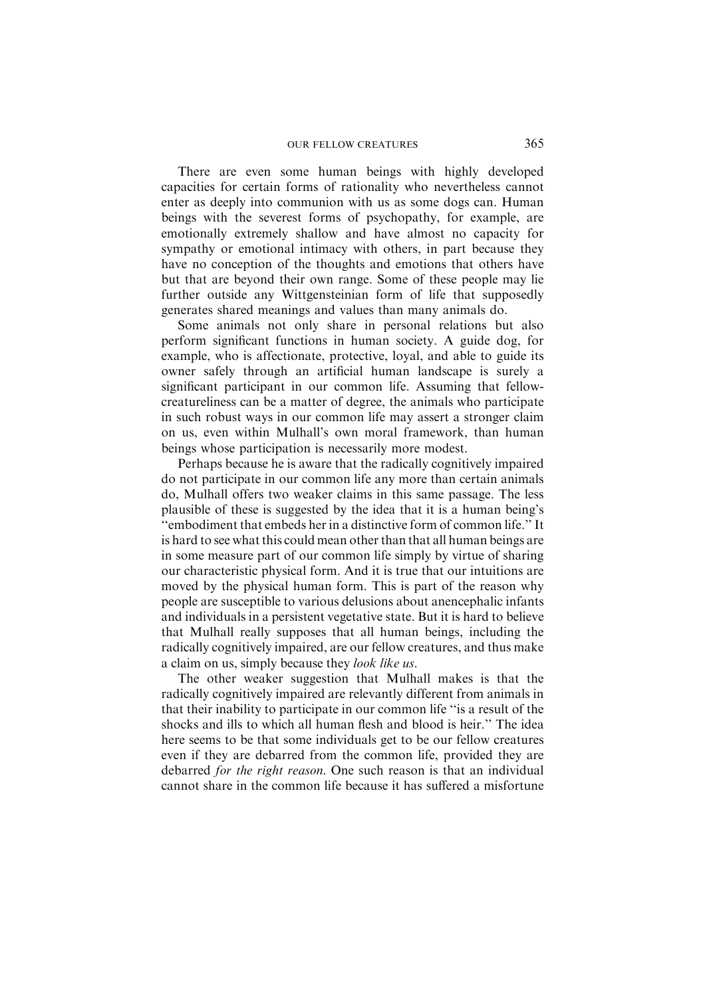There are even some human beings with highly developed capacities for certain forms of rationality who nevertheless cannot enter as deeply into communion with us as some dogs can. Human beings with the severest forms of psychopathy, for example, are emotionally extremely shallow and have almost no capacity for sympathy or emotional intimacy with others, in part because they have no conception of the thoughts and emotions that others have but that are beyond their own range. Some of these people may lie further outside any Wittgensteinian form of life that supposedly generates shared meanings and values than many animals do.

Some animals not only share in personal relations but also perform significant functions in human society. A guide dog, for example, who is affectionate, protective, loyal, and able to guide its owner safely through an artificial human landscape is surely a significant participant in our common life. Assuming that fellowcreatureliness can be a matter of degree, the animals who participate in such robust ways in our common life may assert a stronger claim on us, even within Mulhall's own moral framework, than human beings whose participation is necessarily more modest.

Perhaps because he is aware that the radically cognitively impaired do not participate in our common life any more than certain animals do, Mulhall offers two weaker claims in this same passage. The less plausible of these is suggested by the idea that it is a human being's ''embodiment that embeds her in a distinctive form of common life.'' It is hard to see what this could mean other than that all human beings are in some measure part of our common life simply by virtue of sharing our characteristic physical form. And it is true that our intuitions are moved by the physical human form. This is part of the reason why people are susceptible to various delusions about anencephalic infants and individuals in a persistent vegetative state. But it is hard to believe that Mulhall really supposes that all human beings, including the radically cognitively impaired, are our fellow creatures, and thus make a claim on us, simply because they look like us.

The other weaker suggestion that Mulhall makes is that the radically cognitively impaired are relevantly different from animals in that their inability to participate in our common life ''is a result of the shocks and ills to which all human flesh and blood is heir.'' The idea here seems to be that some individuals get to be our fellow creatures even if they are debarred from the common life, provided they are debarred for the right reason. One such reason is that an individual cannot share in the common life because it has suffered a misfortune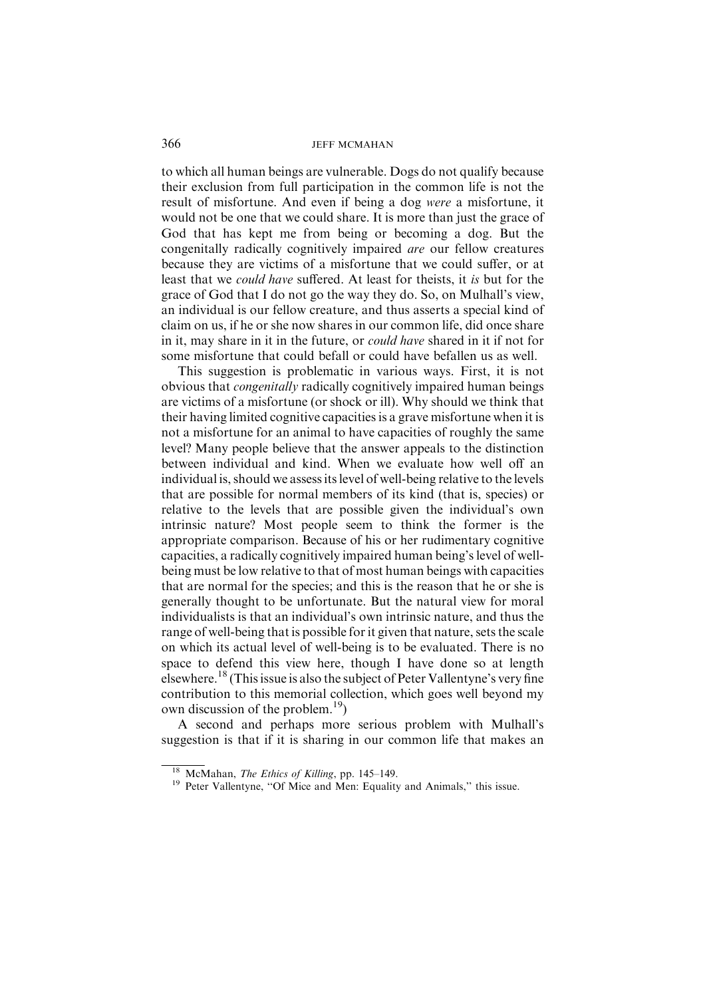to which all human beings are vulnerable. Dogs do not qualify because their exclusion from full participation in the common life is not the result of misfortune. And even if being a dog were a misfortune, it would not be one that we could share. It is more than just the grace of God that has kept me from being or becoming a dog. But the congenitally radically cognitively impaired are our fellow creatures because they are victims of a misfortune that we could suffer, or at least that we could have suffered. At least for theists, it is but for the grace of God that I do not go the way they do. So, on Mulhall's view, an individual is our fellow creature, and thus asserts a special kind of claim on us, if he or she now shares in our common life, did once share in it, may share in it in the future, or could have shared in it if not for some misfortune that could befall or could have befallen us as well.

This suggestion is problematic in various ways. First, it is not obvious that congenitally radically cognitively impaired human beings are victims of a misfortune (or shock or ill). Why should we think that their having limited cognitive capacities is a grave misfortune when it is not a misfortune for an animal to have capacities of roughly the same level? Many people believe that the answer appeals to the distinction between individual and kind. When we evaluate how well off an individual is, should we assess its level of well-being relative to the levels that are possible for normal members of its kind (that is, species) or relative to the levels that are possible given the individual's own intrinsic nature? Most people seem to think the former is the appropriate comparison. Because of his or her rudimentary cognitive capacities, a radically cognitively impaired human being's level of wellbeing must be low relative to that of most human beings with capacities that are normal for the species; and this is the reason that he or she is generally thought to be unfortunate. But the natural view for moral individualists is that an individual's own intrinsic nature, and thus the range of well-being that is possible for it given that nature, sets the scale on which its actual level of well-being is to be evaluated. There is no space to defend this view here, though I have done so at length elsewhere.<sup>18</sup> (This issue is also the subject of Peter Vallentyne's very fine contribution to this memorial collection, which goes well beyond my own discussion of the problem.<sup>19</sup>)

A second and perhaps more serious problem with Mulhall's suggestion is that if it is sharing in our common life that makes an

<sup>&</sup>lt;sup>18</sup> McMahan, *The Ethics of Killing*, pp. 145–149.<br><sup>19</sup> Peter Vallentyne, "Of Mice and Men: Equality and Animals," this issue.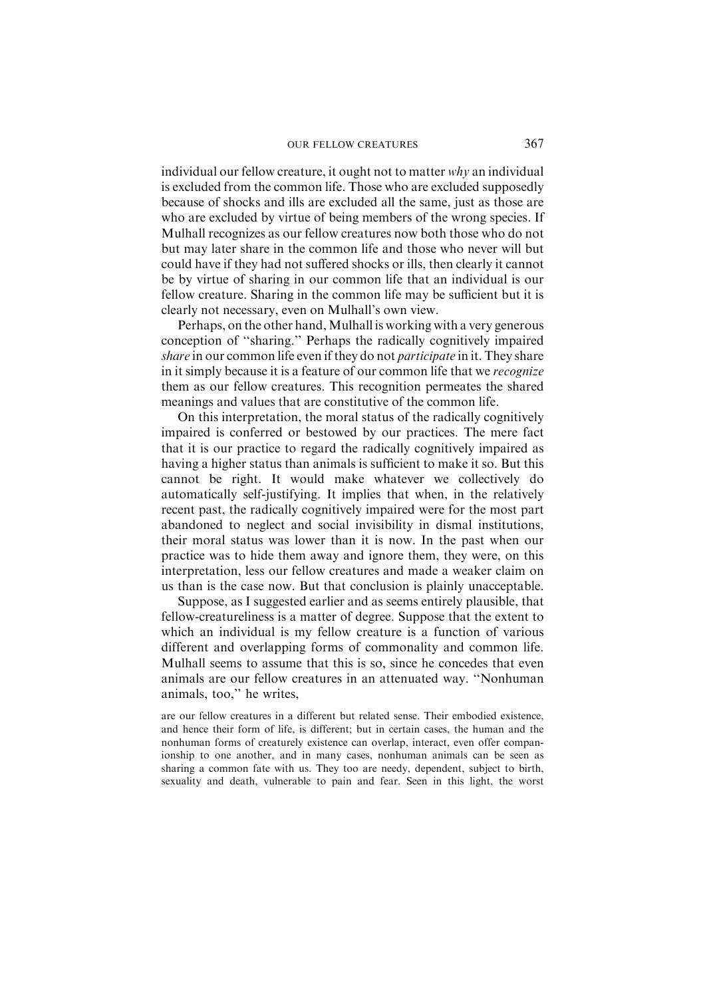individual our fellow creature, it ought not to matter why an individual is excluded from the common life. Those who are excluded supposedly because of shocks and ills are excluded all the same, just as those are who are excluded by virtue of being members of the wrong species. If Mulhall recognizes as our fellow creatures now both those who do not but may later share in the common life and those who never will but could have if they had not suffered shocks or ills, then clearly it cannot be by virtue of sharing in our common life that an individual is our fellow creature. Sharing in the common life may be sufficient but it is clearly not necessary, even on Mulhall's own view.

Perhaps, on the other hand, Mulhall is working with a very generous conception of ''sharing.'' Perhaps the radically cognitively impaired share in our common life even if they do not *participate* in it. They share in it simply because it is a feature of our common life that we recognize them as our fellow creatures. This recognition permeates the shared meanings and values that are constitutive of the common life.

On this interpretation, the moral status of the radically cognitively impaired is conferred or bestowed by our practices. The mere fact that it is our practice to regard the radically cognitively impaired as having a higher status than animals is sufficient to make it so. But this cannot be right. It would make whatever we collectively do automatically self-justifying. It implies that when, in the relatively recent past, the radically cognitively impaired were for the most part abandoned to neglect and social invisibility in dismal institutions, their moral status was lower than it is now. In the past when our practice was to hide them away and ignore them, they were, on this interpretation, less our fellow creatures and made a weaker claim on us than is the case now. But that conclusion is plainly unacceptable.

Suppose, as I suggested earlier and as seems entirely plausible, that fellow-creatureliness is a matter of degree. Suppose that the extent to which an individual is my fellow creature is a function of various different and overlapping forms of commonality and common life. Mulhall seems to assume that this is so, since he concedes that even animals are our fellow creatures in an attenuated way. ''Nonhuman animals, too,'' he writes,

are our fellow creatures in a different but related sense. Their embodied existence, and hence their form of life, is different; but in certain cases, the human and the nonhuman forms of creaturely existence can overlap, interact, even offer companionship to one another, and in many cases, nonhuman animals can be seen as sharing a common fate with us. They too are needy, dependent, subject to birth, sexuality and death, vulnerable to pain and fear. Seen in this light, the worst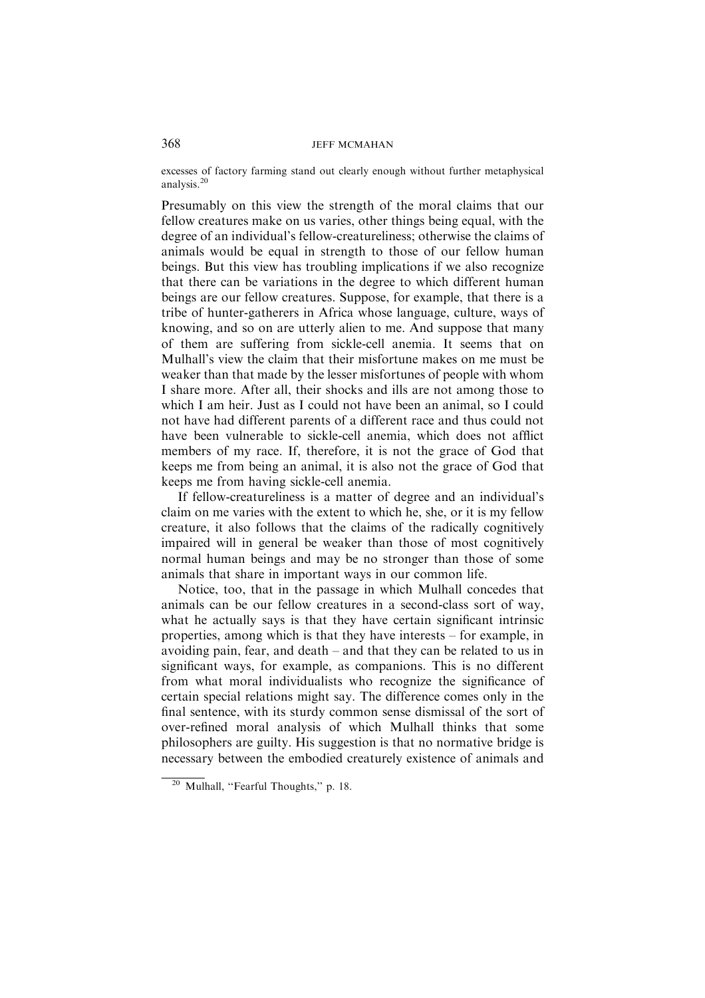excesses of factory farming stand out clearly enough without further metaphysical analysis.<sup>20</sup>

Presumably on this view the strength of the moral claims that our fellow creatures make on us varies, other things being equal, with the degree of an individual's fellow-creatureliness; otherwise the claims of animals would be equal in strength to those of our fellow human beings. But this view has troubling implications if we also recognize that there can be variations in the degree to which different human beings are our fellow creatures. Suppose, for example, that there is a tribe of hunter-gatherers in Africa whose language, culture, ways of knowing, and so on are utterly alien to me. And suppose that many of them are suffering from sickle-cell anemia. It seems that on Mulhall's view the claim that their misfortune makes on me must be weaker than that made by the lesser misfortunes of people with whom I share more. After all, their shocks and ills are not among those to which I am heir. Just as I could not have been an animal, so I could not have had different parents of a different race and thus could not have been vulnerable to sickle-cell anemia, which does not afflict members of my race. If, therefore, it is not the grace of God that keeps me from being an animal, it is also not the grace of God that keeps me from having sickle-cell anemia.

If fellow-creatureliness is a matter of degree and an individual's claim on me varies with the extent to which he, she, or it is my fellow creature, it also follows that the claims of the radically cognitively impaired will in general be weaker than those of most cognitively normal human beings and may be no stronger than those of some animals that share in important ways in our common life.

Notice, too, that in the passage in which Mulhall concedes that animals can be our fellow creatures in a second-class sort of way, what he actually says is that they have certain significant intrinsic properties, among which is that they have interests – for example, in avoiding pain, fear, and death – and that they can be related to us in significant ways, for example, as companions. This is no different from what moral individualists who recognize the significance of certain special relations might say. The difference comes only in the final sentence, with its sturdy common sense dismissal of the sort of over-refined moral analysis of which Mulhall thinks that some philosophers are guilty. His suggestion is that no normative bridge is necessary between the embodied creaturely existence of animals and

<sup>&</sup>lt;sup>20</sup> Mulhall, "Fearful Thoughts," p. 18.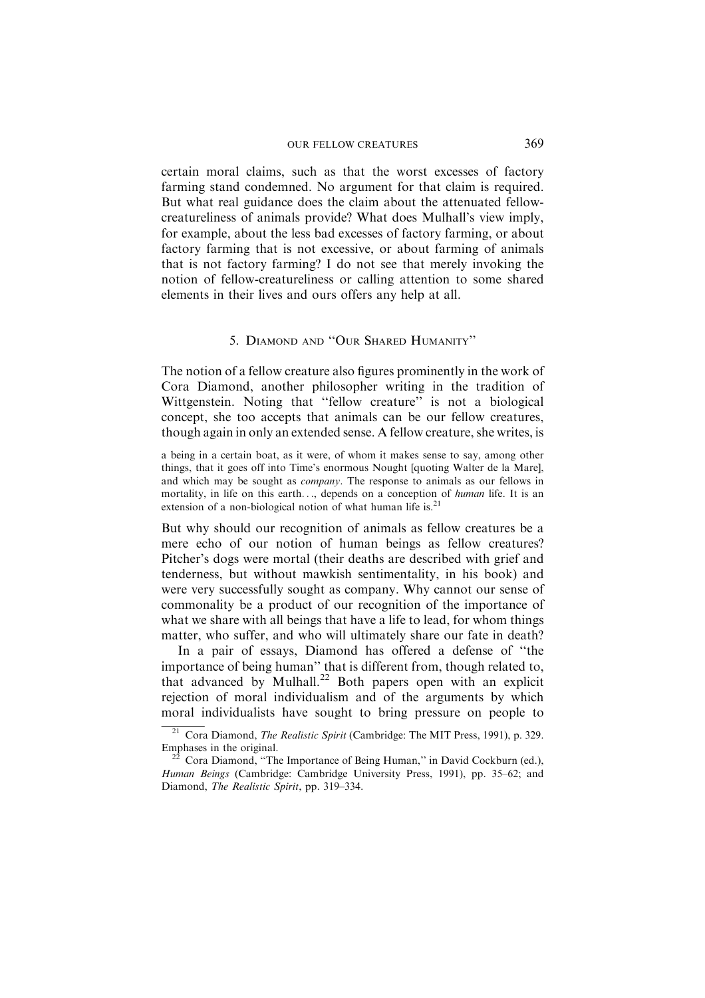#### OUR FELLOW CREATURES 369

certain moral claims, such as that the worst excesses of factory farming stand condemned. No argument for that claim is required. But what real guidance does the claim about the attenuated fellowcreatureliness of animals provide? What does Mulhall's view imply, for example, about the less bad excesses of factory farming, or about factory farming that is not excessive, or about farming of animals that is not factory farming? I do not see that merely invoking the notion of fellow-creatureliness or calling attention to some shared elements in their lives and ours offers any help at all.

#### 5. DIAMOND AND ''OUR SHARED HUMANITY''

The notion of a fellow creature also figures prominently in the work of Cora Diamond, another philosopher writing in the tradition of Wittgenstein. Noting that ''fellow creature'' is not a biological concept, she too accepts that animals can be our fellow creatures, though again in only an extended sense. A fellow creature, she writes, is

a being in a certain boat, as it were, of whom it makes sense to say, among other things, that it goes off into Time's enormous Nought [quoting Walter de la Mare], and which may be sought as company. The response to animals as our fellows in mortality, in life on this earth..., depends on a conception of human life. It is an extension of a non-biological notion of what human life is.<sup>21</sup>

But why should our recognition of animals as fellow creatures be a mere echo of our notion of human beings as fellow creatures? Pitcher's dogs were mortal (their deaths are described with grief and tenderness, but without mawkish sentimentality, in his book) and were very successfully sought as company. Why cannot our sense of commonality be a product of our recognition of the importance of what we share with all beings that have a life to lead, for whom things matter, who suffer, and who will ultimately share our fate in death?

In a pair of essays, Diamond has offered a defense of ''the importance of being human'' that is different from, though related to, that advanced by Mulhall.<sup>22</sup> Both papers open with an explicit rejection of moral individualism and of the arguments by which moral individualists have sought to bring pressure on people to

<sup>&</sup>lt;sup>21</sup> Cora Diamond, *The Realistic Spirit* (Cambridge: The MIT Press, 1991), p. 329. Emphases in the original.<br><sup>22</sup> Cora Diamond, "The Importance of Being Human," in David Cockburn (ed.),

Human Beings (Cambridge: Cambridge University Press, 1991), pp. 35–62; and Diamond, The Realistic Spirit, pp. 319–334.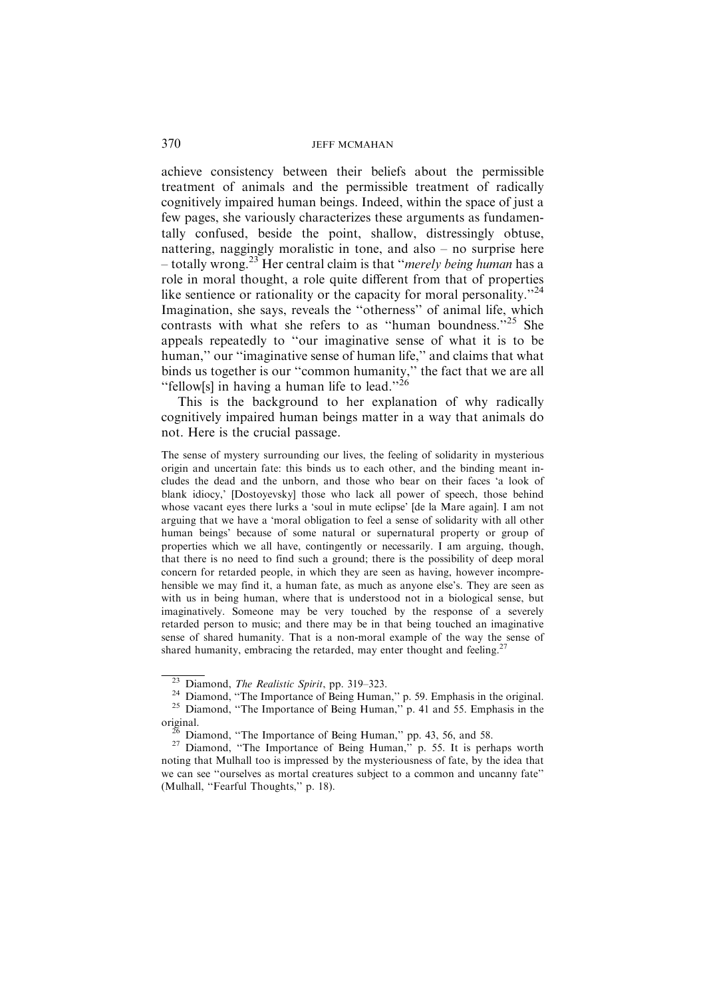achieve consistency between their beliefs about the permissible treatment of animals and the permissible treatment of radically cognitively impaired human beings. Indeed, within the space of just a few pages, she variously characterizes these arguments as fundamentally confused, beside the point, shallow, distressingly obtuse, nattering, naggingly moralistic in tone, and also – no surprise here – totally wrong.<sup>23</sup> Her central claim is that "*merely being human* has a role in moral thought, a role quite different from that of properties like sentience or rationality or the capacity for moral personality."<sup>24</sup> Imagination, she says, reveals the ''otherness'' of animal life, which contrasts with what she refers to as "human boundness."<sup>25</sup> She appeals repeatedly to ''our imaginative sense of what it is to be human,'' our ''imaginative sense of human life,'' and claims that what binds us together is our ''common humanity,'' the fact that we are all "fellow[s] in having a human life to lead."<sup>26</sup>

This is the background to her explanation of why radically cognitively impaired human beings matter in a way that animals do not. Here is the crucial passage.

The sense of mystery surrounding our lives, the feeling of solidarity in mysterious origin and uncertain fate: this binds us to each other, and the binding meant includes the dead and the unborn, and those who bear on their faces 'a look of blank idiocy,' [Dostoyevsky] those who lack all power of speech, those behind whose vacant eyes there lurks a 'soul in mute eclipse' [de la Mare again]. I am not arguing that we have a 'moral obligation to feel a sense of solidarity with all other human beings' because of some natural or supernatural property or group of properties which we all have, contingently or necessarily. I am arguing, though, that there is no need to find such a ground; there is the possibility of deep moral concern for retarded people, in which they are seen as having, however incomprehensible we may find it, a human fate, as much as anyone else's. They are seen as with us in being human, where that is understood not in a biological sense, but imaginatively. Someone may be very touched by the response of a severely retarded person to music; and there may be in that being touched an imaginative sense of shared humanity. That is a non-moral example of the way the sense of shared humanity, embracing the retarded, may enter thought and feeling.<sup>27</sup>

<sup>&</sup>lt;sup>23</sup> Diamond, *The Realistic Spirit*, pp. 319–323.<br><sup>24</sup> Diamond, "The Importance of Being Human," p. 59. Emphasis in the original.<br><sup>25</sup> Diamond. "The Importance of Being Human," p. 41 and 55. Emphasis in the

original.<br><sup>26</sup> Diamond, "The Importance of Being Human," pp. 43, 56, and 58.<br><sup>27</sup> Diamond, "The Importance of Being Human," p. 55. It is perhaps worth noting that Mulhall too is impressed by the mysteriousness of fate, by the idea that we can see ''ourselves as mortal creatures subject to a common and uncanny fate'' (Mulhall, ''Fearful Thoughts,'' p. 18).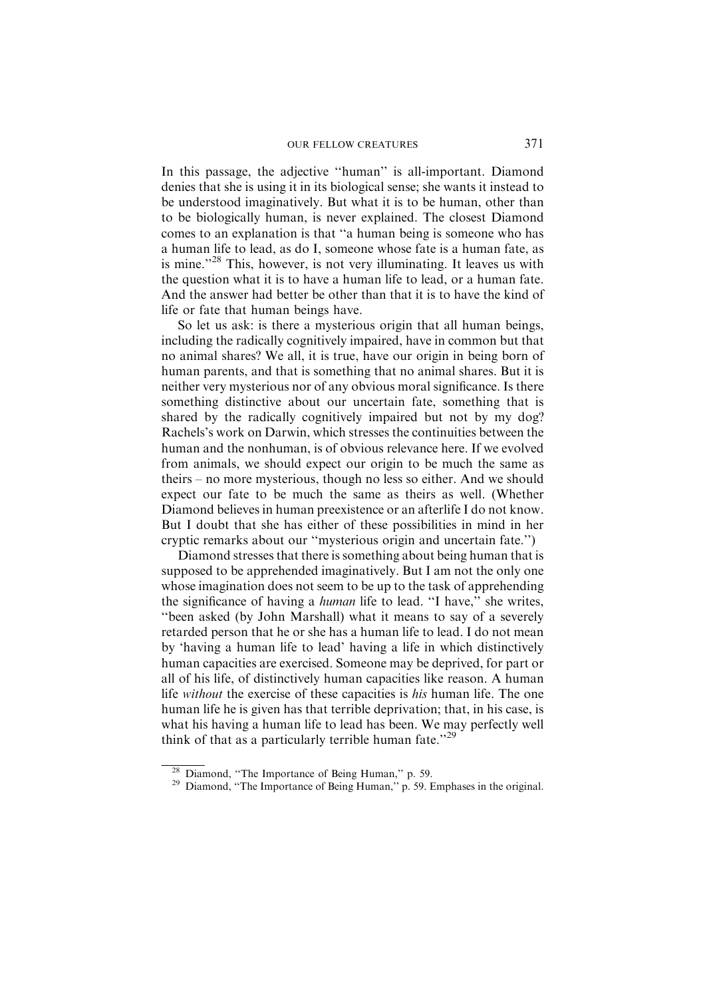In this passage, the adjective ''human'' is all-important. Diamond denies that she is using it in its biological sense; she wants it instead to be understood imaginatively. But what it is to be human, other than to be biologically human, is never explained. The closest Diamond comes to an explanation is that ''a human being is someone who has a human life to lead, as do I, someone whose fate is a human fate, as is mine."<sup>28</sup> This, however, is not very illuminating. It leaves us with the question what it is to have a human life to lead, or a human fate. And the answer had better be other than that it is to have the kind of life or fate that human beings have.

So let us ask: is there a mysterious origin that all human beings, including the radically cognitively impaired, have in common but that no animal shares? We all, it is true, have our origin in being born of human parents, and that is something that no animal shares. But it is neither very mysterious nor of any obvious moral significance. Is there something distinctive about our uncertain fate, something that is shared by the radically cognitively impaired but not by my dog? Rachels's work on Darwin, which stresses the continuities between the human and the nonhuman, is of obvious relevance here. If we evolved from animals, we should expect our origin to be much the same as theirs – no more mysterious, though no less so either. And we should expect our fate to be much the same as theirs as well. (Whether Diamond believes in human preexistence or an afterlife I do not know. But I doubt that she has either of these possibilities in mind in her cryptic remarks about our ''mysterious origin and uncertain fate.'')

Diamond stresses that there is something about being human that is supposed to be apprehended imaginatively. But I am not the only one whose imagination does not seem to be up to the task of apprehending the significance of having a *human* life to lead. "I have," she writes, ''been asked (by John Marshall) what it means to say of a severely retarded person that he or she has a human life to lead. I do not mean by 'having a human life to lead' having a life in which distinctively human capacities are exercised. Someone may be deprived, for part or all of his life, of distinctively human capacities like reason. A human life without the exercise of these capacities is his human life. The one human life he is given has that terrible deprivation; that, in his case, is what his having a human life to lead has been. We may perfectly well think of that as a particularly terrible human fate.<sup> $29$ </sup>

<sup>&</sup>lt;sup>28</sup> Diamond, "The Importance of Being Human," p. 59.<br><sup>29</sup> Diamond, "The Importance of Being Human," p. 59. Emphases in the original.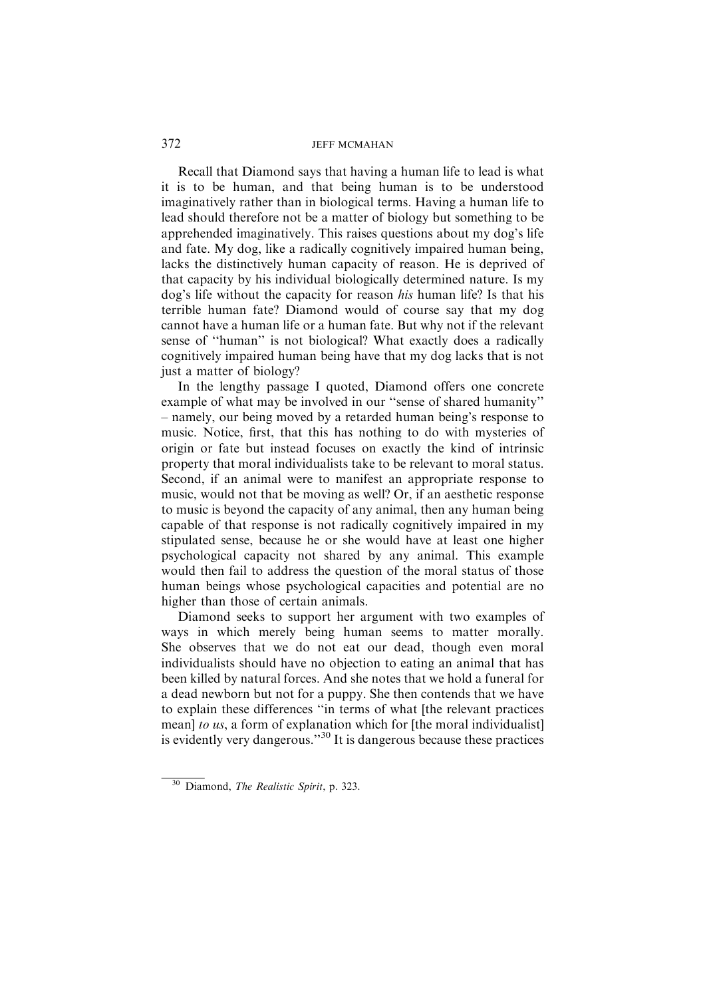Recall that Diamond says that having a human life to lead is what it is to be human, and that being human is to be understood imaginatively rather than in biological terms. Having a human life to lead should therefore not be a matter of biology but something to be apprehended imaginatively. This raises questions about my dog's life and fate. My dog, like a radically cognitively impaired human being, lacks the distinctively human capacity of reason. He is deprived of that capacity by his individual biologically determined nature. Is my dog's life without the capacity for reason his human life? Is that his terrible human fate? Diamond would of course say that my dog cannot have a human life or a human fate. But why not if the relevant sense of ''human'' is not biological? What exactly does a radically cognitively impaired human being have that my dog lacks that is not just a matter of biology?

In the lengthy passage I quoted, Diamond offers one concrete example of what may be involved in our ''sense of shared humanity'' – namely, our being moved by a retarded human being's response to music. Notice, first, that this has nothing to do with mysteries of origin or fate but instead focuses on exactly the kind of intrinsic property that moral individualists take to be relevant to moral status. Second, if an animal were to manifest an appropriate response to music, would not that be moving as well? Or, if an aesthetic response to music is beyond the capacity of any animal, then any human being capable of that response is not radically cognitively impaired in my stipulated sense, because he or she would have at least one higher psychological capacity not shared by any animal. This example would then fail to address the question of the moral status of those human beings whose psychological capacities and potential are no higher than those of certain animals.

Diamond seeks to support her argument with two examples of ways in which merely being human seems to matter morally. She observes that we do not eat our dead, though even moral individualists should have no objection to eating an animal that has been killed by natural forces. And she notes that we hold a funeral for a dead newborn but not for a puppy. She then contends that we have to explain these differences ''in terms of what [the relevant practices mean] to us, a form of explanation which for [the moral individualist] is evidently very dangerous.<sup>''30</sup> It is dangerous because these practices

<sup>&</sup>lt;sup>30</sup> Diamond, *The Realistic Spirit*, p. 323.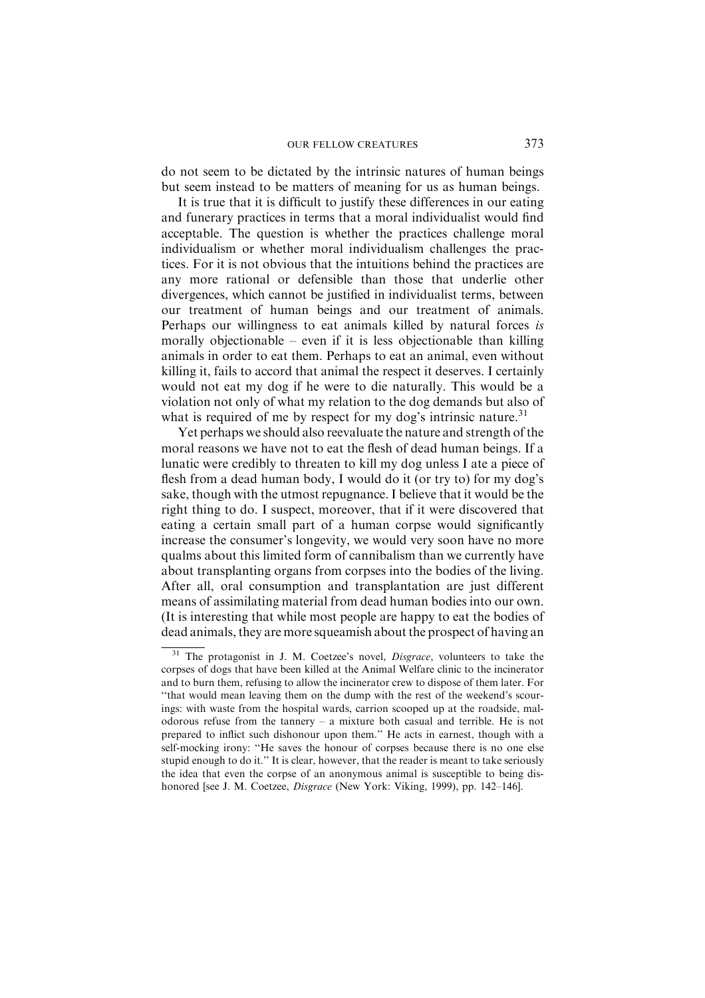do not seem to be dictated by the intrinsic natures of human beings but seem instead to be matters of meaning for us as human beings.

It is true that it is difficult to justify these differences in our eating and funerary practices in terms that a moral individualist would find acceptable. The question is whether the practices challenge moral individualism or whether moral individualism challenges the practices. For it is not obvious that the intuitions behind the practices are any more rational or defensible than those that underlie other divergences, which cannot be justified in individualist terms, between our treatment of human beings and our treatment of animals. Perhaps our willingness to eat animals killed by natural forces is morally objectionable – even if it is less objectionable than killing animals in order to eat them. Perhaps to eat an animal, even without killing it, fails to accord that animal the respect it deserves. I certainly would not eat my dog if he were to die naturally. This would be a violation not only of what my relation to the dog demands but also of what is required of me by respect for my dog's intrinsic nature.<sup>31</sup>

Yet perhaps we should also reevaluate the nature and strength of the moral reasons we have not to eat the flesh of dead human beings. If a lunatic were credibly to threaten to kill my dog unless I ate a piece of flesh from a dead human body, I would do it (or try to) for my dog's sake, though with the utmost repugnance. I believe that it would be the right thing to do. I suspect, moreover, that if it were discovered that eating a certain small part of a human corpse would significantly increase the consumer's longevity, we would very soon have no more qualms about this limited form of cannibalism than we currently have about transplanting organs from corpses into the bodies of the living. After all, oral consumption and transplantation are just different means of assimilating material from dead human bodies into our own. (It is interesting that while most people are happy to eat the bodies of dead animals, they are more squeamish about the prospect of having an

<sup>&</sup>lt;sup>31</sup> The protagonist in J. M. Coetzee's novel, *Disgrace*, volunteers to take the corpses of dogs that have been killed at the Animal Welfare clinic to the incinerator and to burn them, refusing to allow the incinerator crew to dispose of them later. For ''that would mean leaving them on the dump with the rest of the weekend's scourings: with waste from the hospital wards, carrion scooped up at the roadside, malodorous refuse from the tannery – a mixture both casual and terrible. He is not prepared to inflict such dishonour upon them.'' He acts in earnest, though with a self-mocking irony: ''He saves the honour of corpses because there is no one else stupid enough to do it.'' It is clear, however, that the reader is meant to take seriously the idea that even the corpse of an anonymous animal is susceptible to being dishonored [see J. M. Coetzee, Disgrace (New York: Viking, 1999), pp. 142-146].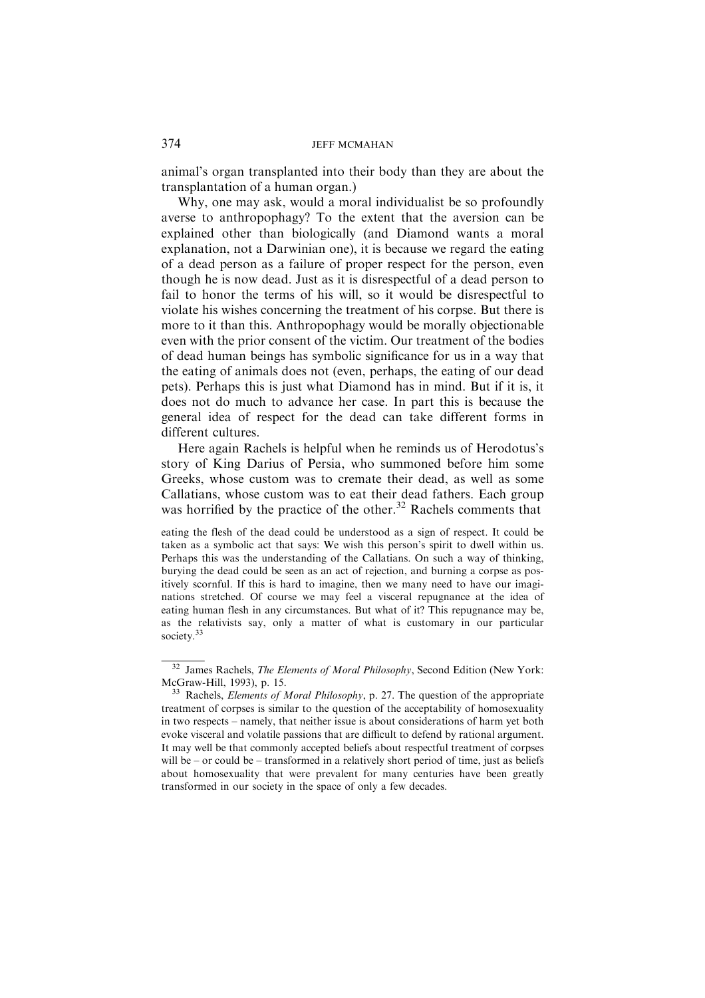animal's organ transplanted into their body than they are about the transplantation of a human organ.)

Why, one may ask, would a moral individualist be so profoundly averse to anthropophagy? To the extent that the aversion can be explained other than biologically (and Diamond wants a moral explanation, not a Darwinian one), it is because we regard the eating of a dead person as a failure of proper respect for the person, even though he is now dead. Just as it is disrespectful of a dead person to fail to honor the terms of his will, so it would be disrespectful to violate his wishes concerning the treatment of his corpse. But there is more to it than this. Anthropophagy would be morally objectionable even with the prior consent of the victim. Our treatment of the bodies of dead human beings has symbolic significance for us in a way that the eating of animals does not (even, perhaps, the eating of our dead pets). Perhaps this is just what Diamond has in mind. But if it is, it does not do much to advance her case. In part this is because the general idea of respect for the dead can take different forms in different cultures.

Here again Rachels is helpful when he reminds us of Herodotus's story of King Darius of Persia, who summoned before him some Greeks, whose custom was to cremate their dead, as well as some Callatians, whose custom was to eat their dead fathers. Each group was horrified by the practice of the other.<sup>32</sup> Rachels comments that

eating the flesh of the dead could be understood as a sign of respect. It could be taken as a symbolic act that says: We wish this person's spirit to dwell within us. Perhaps this was the understanding of the Callatians. On such a way of thinking, burying the dead could be seen as an act of rejection, and burning a corpse as positively scornful. If this is hard to imagine, then we many need to have our imaginations stretched. Of course we may feel a visceral repugnance at the idea of eating human flesh in any circumstances. But what of it? This repugnance may be, as the relativists say, only a matter of what is customary in our particular society.<sup>3</sup>

 $32$  James Rachels, The Elements of Moral Philosophy, Second Edition (New York: McGraw-Hill, 1993), p. 15.<br><sup>33</sup> Rachels, *Elements of Moral Philosophy*, p. 27. The question of the appropriate

treatment of corpses is similar to the question of the acceptability of homosexuality in two respects – namely, that neither issue is about considerations of harm yet both evoke visceral and volatile passions that are difficult to defend by rational argument. It may well be that commonly accepted beliefs about respectful treatment of corpses will be – or could be – transformed in a relatively short period of time, just as beliefs about homosexuality that were prevalent for many centuries have been greatly transformed in our society in the space of only a few decades.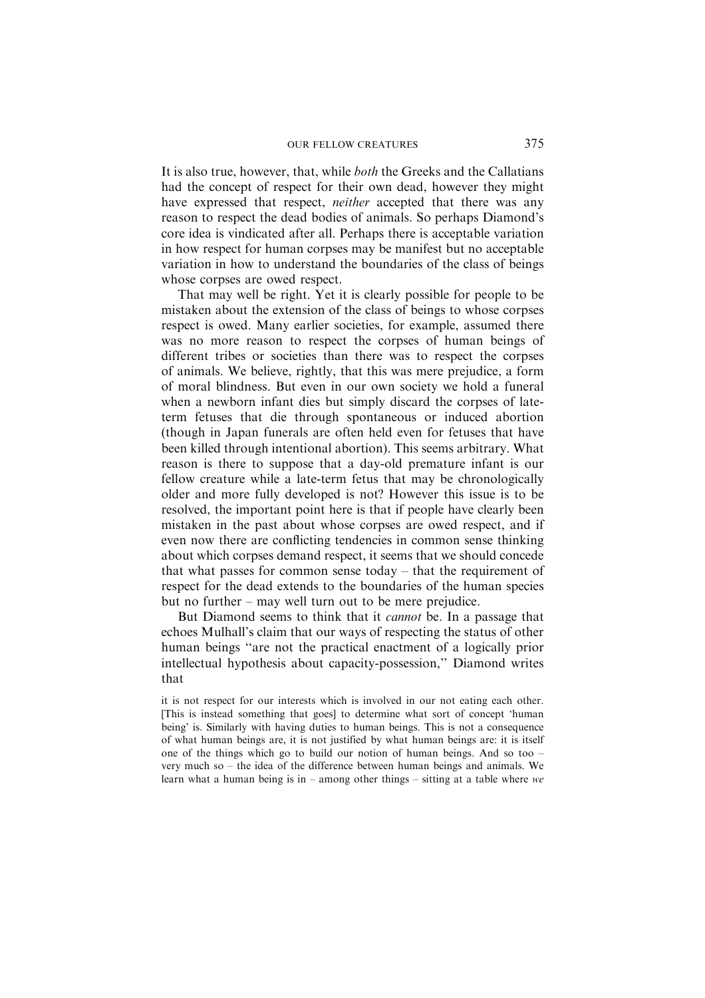It is also true, however, that, while both the Greeks and the Callatians had the concept of respect for their own dead, however they might have expressed that respect, *neither* accepted that there was any reason to respect the dead bodies of animals. So perhaps Diamond's core idea is vindicated after all. Perhaps there is acceptable variation in how respect for human corpses may be manifest but no acceptable variation in how to understand the boundaries of the class of beings whose corpses are owed respect.

That may well be right. Yet it is clearly possible for people to be mistaken about the extension of the class of beings to whose corpses respect is owed. Many earlier societies, for example, assumed there was no more reason to respect the corpses of human beings of different tribes or societies than there was to respect the corpses of animals. We believe, rightly, that this was mere prejudice, a form of moral blindness. But even in our own society we hold a funeral when a newborn infant dies but simply discard the corpses of lateterm fetuses that die through spontaneous or induced abortion (though in Japan funerals are often held even for fetuses that have been killed through intentional abortion). This seems arbitrary. What reason is there to suppose that a day-old premature infant is our fellow creature while a late-term fetus that may be chronologically older and more fully developed is not? However this issue is to be resolved, the important point here is that if people have clearly been mistaken in the past about whose corpses are owed respect, and if even now there are conflicting tendencies in common sense thinking about which corpses demand respect, it seems that we should concede that what passes for common sense today – that the requirement of respect for the dead extends to the boundaries of the human species but no further – may well turn out to be mere prejudice.

But Diamond seems to think that it cannot be. In a passage that echoes Mulhall's claim that our ways of respecting the status of other human beings ''are not the practical enactment of a logically prior intellectual hypothesis about capacity-possession,'' Diamond writes that

it is not respect for our interests which is involved in our not eating each other. [This is instead something that goes] to determine what sort of concept 'human being' is. Similarly with having duties to human beings. This is not a consequence of what human beings are, it is not justified by what human beings are: it is itself one of the things which go to build our notion of human beings. And so too – very much so – the idea of the difference between human beings and animals. We learn what a human being is in – among other things – sitting at a table where we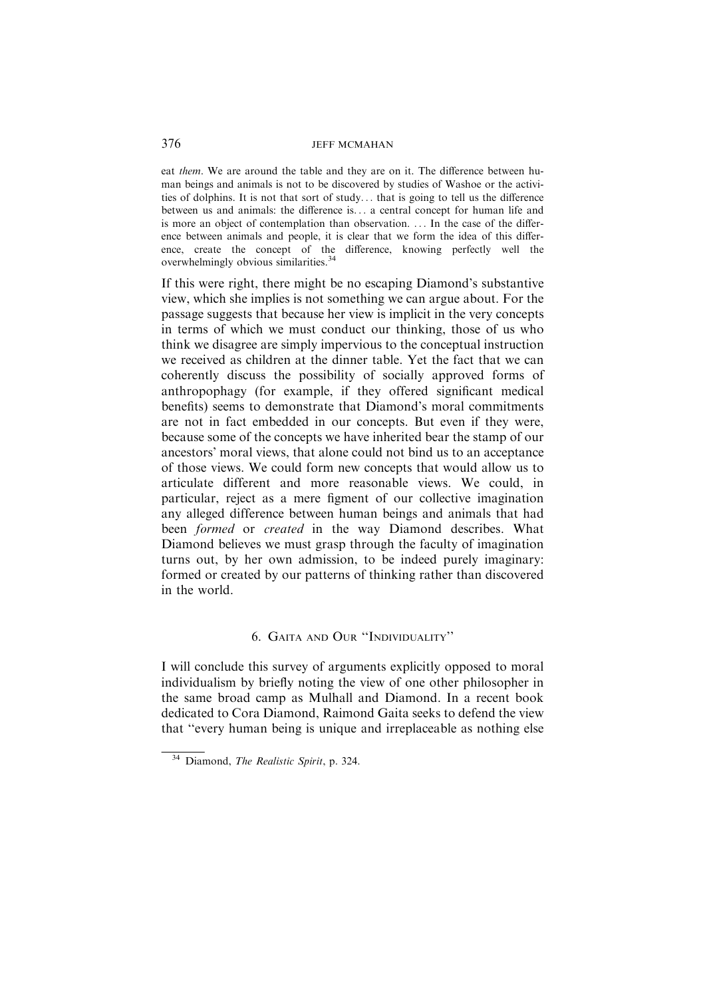eat them. We are around the table and they are on it. The difference between human beings and animals is not to be discovered by studies of Washoe or the activities of dolphins. It is not that sort of study... that is going to tell us the difference between us and animals: the difference is... a central concept for human life and is more an object of contemplation than observation. ... In the case of the difference between animals and people, it is clear that we form the idea of this difference, create the concept of the difference, knowing perfectly well the overwhelmingly obvious similarities.<sup>34</sup>

If this were right, there might be no escaping Diamond's substantive view, which she implies is not something we can argue about. For the passage suggests that because her view is implicit in the very concepts in terms of which we must conduct our thinking, those of us who think we disagree are simply impervious to the conceptual instruction we received as children at the dinner table. Yet the fact that we can coherently discuss the possibility of socially approved forms of anthropophagy (for example, if they offered significant medical benefits) seems to demonstrate that Diamond's moral commitments are not in fact embedded in our concepts. But even if they were, because some of the concepts we have inherited bear the stamp of our ancestors' moral views, that alone could not bind us to an acceptance of those views. We could form new concepts that would allow us to articulate different and more reasonable views. We could, in particular, reject as a mere figment of our collective imagination any alleged difference between human beings and animals that had been *formed* or *created* in the way Diamond describes. What Diamond believes we must grasp through the faculty of imagination turns out, by her own admission, to be indeed purely imaginary: formed or created by our patterns of thinking rather than discovered in the world.

## 6. GAITA AND OUR ''INDIVIDUALITY''

I will conclude this survey of arguments explicitly opposed to moral individualism by briefly noting the view of one other philosopher in the same broad camp as Mulhall and Diamond. In a recent book dedicated to Cora Diamond, Raimond Gaita seeks to defend the view that ''every human being is unique and irreplaceable as nothing else

<sup>&</sup>lt;sup>34</sup> Diamond, *The Realistic Spirit*, p. 324.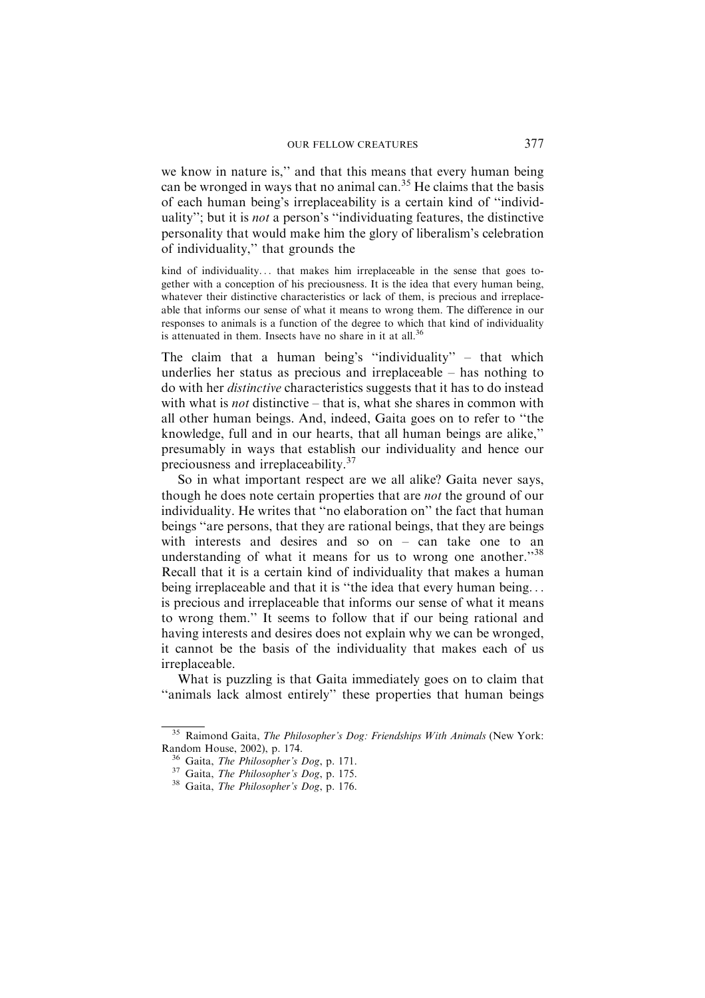we know in nature is," and that this means that every human being can be wronged in ways that no animal can.<sup>35</sup> He claims that the basis of each human being's irreplaceability is a certain kind of ''individuality''; but it is not a person's ''individuating features, the distinctive personality that would make him the glory of liberalism's celebration of individuality,'' that grounds the

kind of individuality... that makes him irreplaceable in the sense that goes together with a conception of his preciousness. It is the idea that every human being, whatever their distinctive characteristics or lack of them, is precious and irreplaceable that informs our sense of what it means to wrong them. The difference in our responses to animals is a function of the degree to which that kind of individuality is attenuated in them. Insects have no share in it at all.<sup>36</sup>

The claim that a human being's "individuality"  $-$  that which underlies her status as precious and irreplaceable – has nothing to do with her distinctive characteristics suggests that it has to do instead with what is *not* distinctive – that is, what she shares in common with all other human beings. And, indeed, Gaita goes on to refer to ''the knowledge, full and in our hearts, that all human beings are alike,'' presumably in ways that establish our individuality and hence our preciousness and irreplaceability.37

So in what important respect are we all alike? Gaita never says, though he does note certain properties that are *not* the ground of our individuality. He writes that ''no elaboration on'' the fact that human beings ''are persons, that they are rational beings, that they are beings with interests and desires and so on – can take one to an understanding of what it means for us to wrong one another.<sup>38</sup> Recall that it is a certain kind of individuality that makes a human being irreplaceable and that it is "the idea that every human being... is precious and irreplaceable that informs our sense of what it means to wrong them.'' It seems to follow that if our being rational and having interests and desires does not explain why we can be wronged, it cannot be the basis of the individuality that makes each of us irreplaceable.

What is puzzling is that Gaita immediately goes on to claim that ''animals lack almost entirely'' these properties that human beings

 $35$  Raimond Gaita, The Philosopher's Dog: Friendships With Animals (New York: Random House, 2002), p. 174.<br><sup>36</sup> Gaita, *The Philosopher's Dog*, p. 171.<br><sup>37</sup> Gaita, *The Philosopher's Dog*, p. 175.<br><sup>38</sup> Gaita, *The Philosopher's Dog*, p. 176.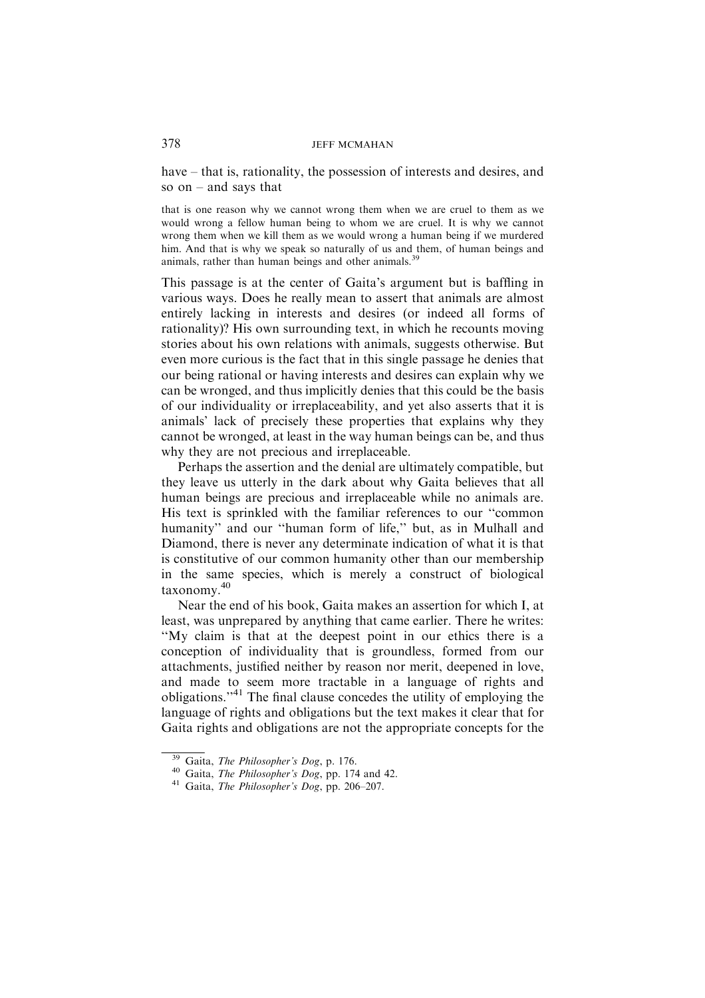have – that is, rationality, the possession of interests and desires, and so  $\text{on}$  – and says that

that is one reason why we cannot wrong them when we are cruel to them as we would wrong a fellow human being to whom we are cruel. It is why we cannot wrong them when we kill them as we would wrong a human being if we murdered him. And that is why we speak so naturally of us and them, of human beings and animals, rather than human beings and other animals. $3<sup>3</sup>$ 

This passage is at the center of Gaita's argument but is baffling in various ways. Does he really mean to assert that animals are almost entirely lacking in interests and desires (or indeed all forms of rationality)? His own surrounding text, in which he recounts moving stories about his own relations with animals, suggests otherwise. But even more curious is the fact that in this single passage he denies that our being rational or having interests and desires can explain why we can be wronged, and thus implicitly denies that this could be the basis of our individuality or irreplaceability, and yet also asserts that it is animals' lack of precisely these properties that explains why they cannot be wronged, at least in the way human beings can be, and thus why they are not precious and irreplaceable.

Perhaps the assertion and the denial are ultimately compatible, but they leave us utterly in the dark about why Gaita believes that all human beings are precious and irreplaceable while no animals are. His text is sprinkled with the familiar references to our ''common humanity" and our "human form of life," but, as in Mulhall and Diamond, there is never any determinate indication of what it is that is constitutive of our common humanity other than our membership in the same species, which is merely a construct of biological taxonomy.40

Near the end of his book, Gaita makes an assertion for which I, at least, was unprepared by anything that came earlier. There he writes: ''My claim is that at the deepest point in our ethics there is a conception of individuality that is groundless, formed from our attachments, justified neither by reason nor merit, deepened in love, and made to seem more tractable in a language of rights and obligations.''41 The final clause concedes the utility of employing the language of rights and obligations but the text makes it clear that for Gaita rights and obligations are not the appropriate concepts for the

<sup>&</sup>lt;sup>39</sup> Gaita, *The Philosopher's Dog*, p. 176.<br><sup>40</sup> Gaita, *The Philosopher's Dog*, pp. 174 and 42.<br><sup>41</sup> Gaita, *The Philosopher's Dog*, pp. 206–207.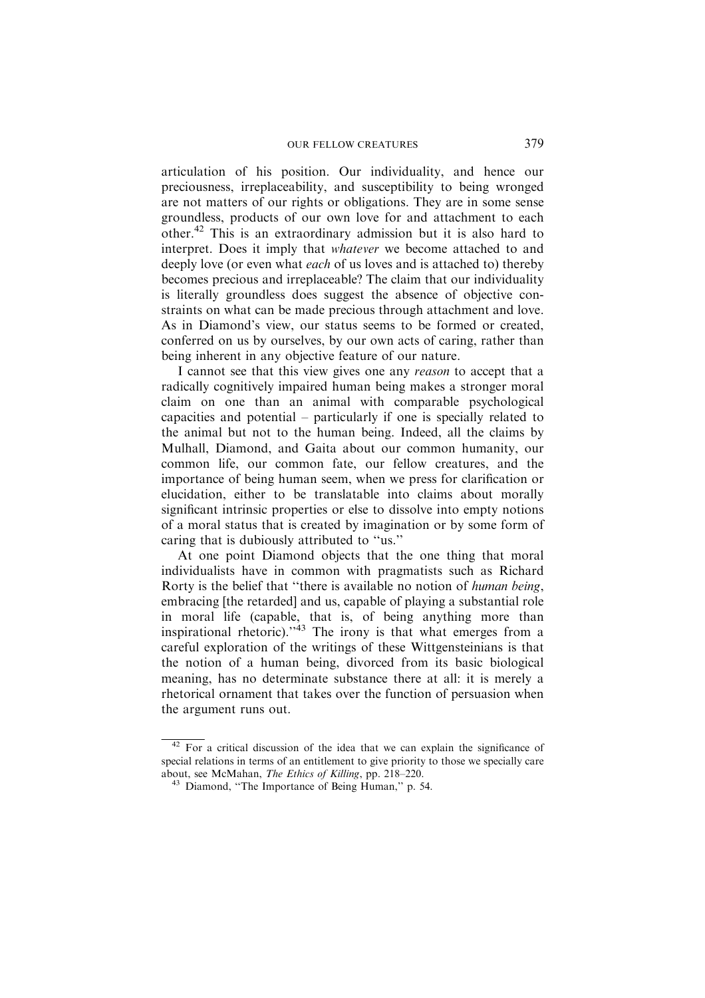articulation of his position. Our individuality, and hence our preciousness, irreplaceability, and susceptibility to being wronged are not matters of our rights or obligations. They are in some sense groundless, products of our own love for and attachment to each other.<sup>42</sup> This is an extraordinary admission but it is also hard to interpret. Does it imply that whatever we become attached to and deeply love (or even what *each* of us loves and is attached to) thereby becomes precious and irreplaceable? The claim that our individuality is literally groundless does suggest the absence of objective constraints on what can be made precious through attachment and love. As in Diamond's view, our status seems to be formed or created, conferred on us by ourselves, by our own acts of caring, rather than being inherent in any objective feature of our nature.

I cannot see that this view gives one any reason to accept that a radically cognitively impaired human being makes a stronger moral claim on one than an animal with comparable psychological capacities and potential – particularly if one is specially related to the animal but not to the human being. Indeed, all the claims by Mulhall, Diamond, and Gaita about our common humanity, our common life, our common fate, our fellow creatures, and the importance of being human seem, when we press for clarification or elucidation, either to be translatable into claims about morally significant intrinsic properties or else to dissolve into empty notions of a moral status that is created by imagination or by some form of caring that is dubiously attributed to ''us.''

At one point Diamond objects that the one thing that moral individualists have in common with pragmatists such as Richard Rorty is the belief that ''there is available no notion of human being, embracing [the retarded] and us, capable of playing a substantial role in moral life (capable, that is, of being anything more than inspirational rhetoric).<sup>'43</sup> The irony is that what emerges from a careful exploration of the writings of these Wittgensteinians is that the notion of a human being, divorced from its basic biological meaning, has no determinate substance there at all: it is merely a rhetorical ornament that takes over the function of persuasion when the argument runs out.

<sup>42</sup> For a critical discussion of the idea that we can explain the significance of special relations in terms of an entitlement to give priority to those we specially care<br>about, see McMahan, *The Ethics of Killing*, pp. 218–220.

 $43$  Diamond, "The Importance of Being Human," p. 54.